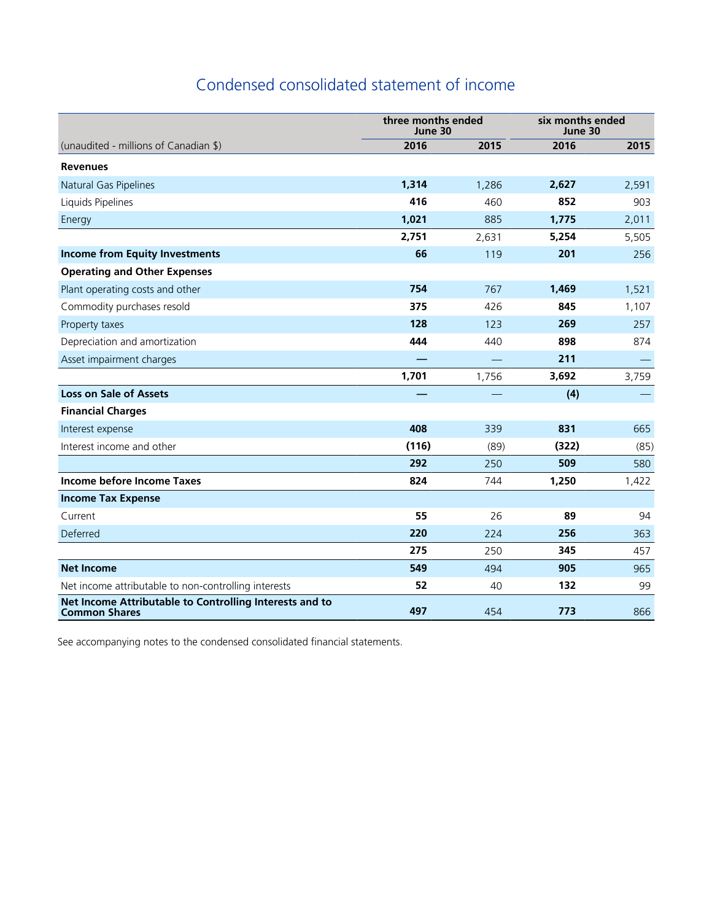# Condensed consolidated statement of income

|                                                                                 | three months ended<br>June 30 |       | six months ended<br>June 30 |       |
|---------------------------------------------------------------------------------|-------------------------------|-------|-----------------------------|-------|
| (unaudited - millions of Canadian \$)                                           | 2016                          | 2015  | 2016                        | 2015  |
| <b>Revenues</b>                                                                 |                               |       |                             |       |
| Natural Gas Pipelines                                                           | 1,314                         | 1,286 | 2,627                       | 2,591 |
| Liquids Pipelines                                                               | 416                           | 460   | 852                         | 903   |
| Energy                                                                          | 1,021                         | 885   | 1,775                       | 2,011 |
|                                                                                 | 2,751                         | 2,631 | 5,254                       | 5,505 |
| <b>Income from Equity Investments</b>                                           | 66                            | 119   | 201                         | 256   |
| <b>Operating and Other Expenses</b>                                             |                               |       |                             |       |
| Plant operating costs and other                                                 | 754                           | 767   | 1,469                       | 1,521 |
| Commodity purchases resold                                                      | 375                           | 426   | 845                         | 1,107 |
| Property taxes                                                                  | 128                           | 123   | 269                         | 257   |
| Depreciation and amortization                                                   | 444                           | 440   | 898                         | 874   |
| Asset impairment charges                                                        |                               |       | 211                         |       |
|                                                                                 | 1,701                         | 1,756 | 3,692                       | 3,759 |
| <b>Loss on Sale of Assets</b>                                                   |                               |       | (4)                         |       |
| <b>Financial Charges</b>                                                        |                               |       |                             |       |
| Interest expense                                                                | 408                           | 339   | 831                         | 665   |
| Interest income and other                                                       | (116)                         | (89)  | (322)                       | (85)  |
|                                                                                 | 292                           | 250   | 509                         | 580   |
| Income before Income Taxes                                                      | 824                           | 744   | 1,250                       | 1,422 |
| <b>Income Tax Expense</b>                                                       |                               |       |                             |       |
| Current                                                                         | 55                            | 26    | 89                          | 94    |
| Deferred                                                                        | 220                           | 224   | 256                         | 363   |
|                                                                                 | 275                           | 250   | 345                         | 457   |
| <b>Net Income</b>                                                               | 549                           | 494   | 905                         | 965   |
| Net income attributable to non-controlling interests                            | 52                            | 40    | 132                         | 99    |
| Net Income Attributable to Controlling Interests and to<br><b>Common Shares</b> | 497                           | 454   | 773                         | 866   |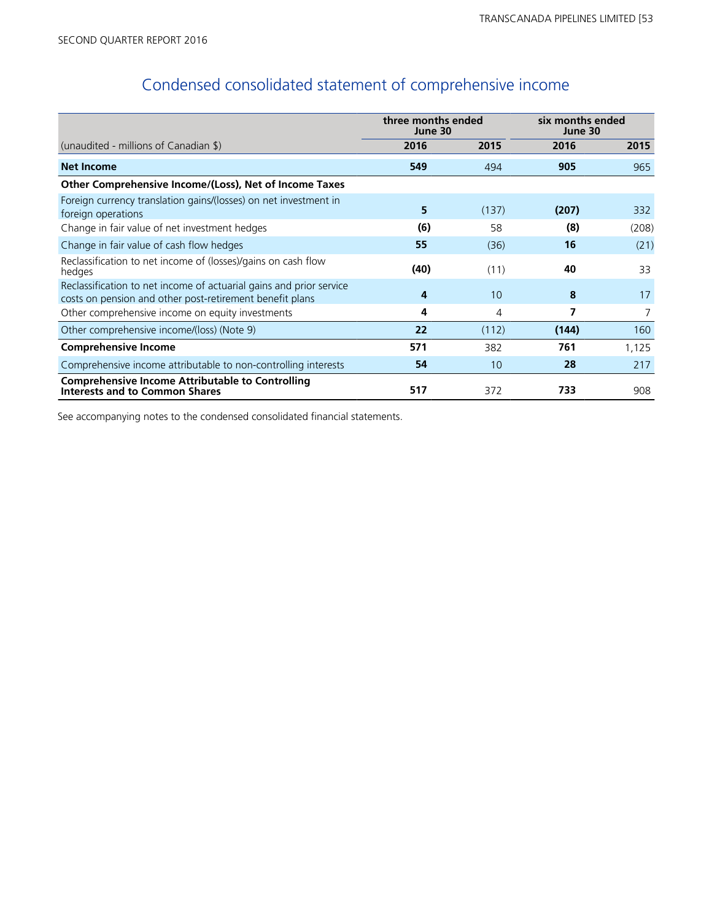# Condensed consolidated statement of comprehensive income

|                                                                                                                                 | three months ended<br>June 30 |       | six months ended<br>June 30 |       |
|---------------------------------------------------------------------------------------------------------------------------------|-------------------------------|-------|-----------------------------|-------|
| (unaudited - millions of Canadian \$)                                                                                           | 2016                          | 2015  | 2016                        | 2015  |
| <b>Net Income</b>                                                                                                               | 549                           | 494   | 905                         | 965   |
| Other Comprehensive Income/(Loss), Net of Income Taxes                                                                          |                               |       |                             |       |
| Foreign currency translation gains/(losses) on net investment in<br>foreign operations                                          | 5                             | (137) | (207)                       | 332   |
| Change in fair value of net investment hedges                                                                                   | (6)                           | 58    | (8)                         | (208) |
| Change in fair value of cash flow hedges                                                                                        | 55                            | (36)  | 16                          | (21)  |
| Reclassification to net income of (losses)/gains on cash flow<br>hedges                                                         | (40)                          | (11)  | 40                          | 33    |
| Reclassification to net income of actuarial gains and prior service<br>costs on pension and other post-retirement benefit plans | 4                             | 10    | 8                           | 17    |
| Other comprehensive income on equity investments                                                                                | 4                             | 4     | 7                           | 7     |
| Other comprehensive income/(loss) (Note 9)                                                                                      | 22                            | (112) | (144)                       | 160   |
| <b>Comprehensive Income</b>                                                                                                     | 571                           | 382   | 761                         | 1,125 |
| Comprehensive income attributable to non-controlling interests                                                                  | 54                            | 10    | 28                          | 217   |
| <b>Comprehensive Income Attributable to Controlling</b><br><b>Interests and to Common Shares</b>                                | 517                           | 372   | 733                         | 908   |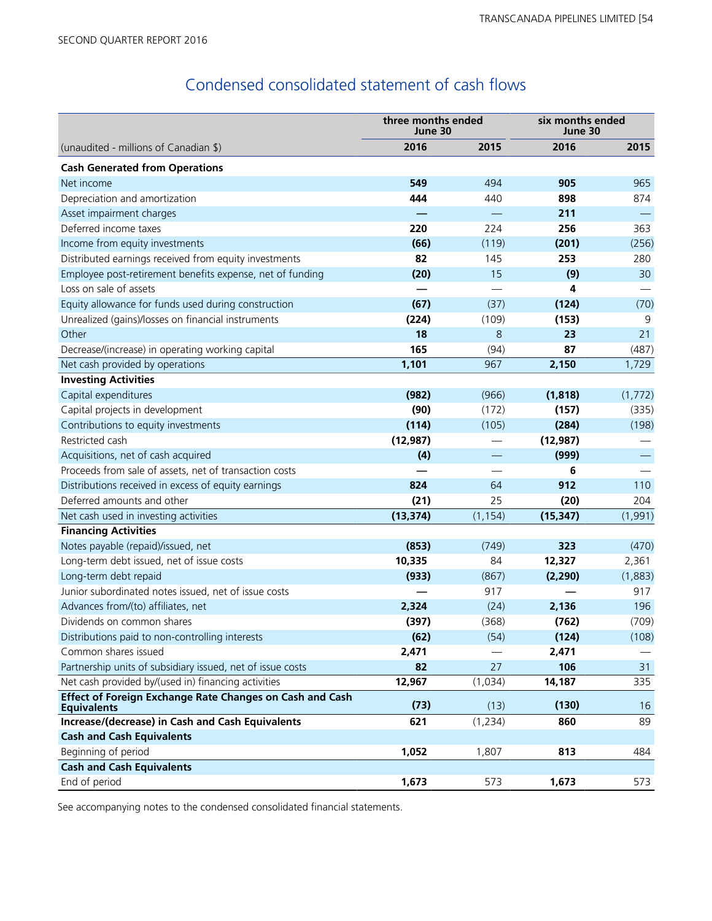## Condensed consolidated statement of cash flows

|                                                                                       | three months ended<br>June 30 |          | six months ended<br>June 30 |         |  |
|---------------------------------------------------------------------------------------|-------------------------------|----------|-----------------------------|---------|--|
| (unaudited - millions of Canadian \$)                                                 | 2016                          | 2015     | 2016                        | 2015    |  |
| <b>Cash Generated from Operations</b>                                                 |                               |          |                             |         |  |
| Net income                                                                            | 549                           | 494      | 905                         | 965     |  |
| Depreciation and amortization                                                         | 444                           | 440      | 898                         | 874     |  |
| Asset impairment charges                                                              |                               |          | 211                         |         |  |
| Deferred income taxes                                                                 | 220                           | 224      | 256                         | 363     |  |
| Income from equity investments                                                        | (66)                          | (119)    | (201)                       | (256)   |  |
| Distributed earnings received from equity investments                                 | 82                            | 145      | 253                         | 280     |  |
| Employee post-retirement benefits expense, net of funding                             | (20)                          | 15       | (9)                         | 30      |  |
| Loss on sale of assets                                                                |                               |          | 4                           |         |  |
| Equity allowance for funds used during construction                                   | (67)                          | (37)     | (124)                       | (70)    |  |
| Unrealized (gains)/losses on financial instruments                                    | (224)                         | (109)    | (153)                       | 9       |  |
| Other                                                                                 | 18                            | 8        | 23                          | 21      |  |
| Decrease/(increase) in operating working capital                                      | 165                           | (94)     | 87                          | (487)   |  |
| Net cash provided by operations                                                       | 1,101                         | 967      | 2,150                       | 1,729   |  |
| <b>Investing Activities</b>                                                           |                               |          |                             |         |  |
| Capital expenditures                                                                  | (982)                         | (966)    | (1, 818)                    | (1,772) |  |
| Capital projects in development                                                       | (90)                          | (172)    | (157)                       | (335)   |  |
| Contributions to equity investments                                                   | (114)                         | (105)    | (284)                       | (198)   |  |
| Restricted cash                                                                       | (12, 987)                     |          | (12, 987)                   |         |  |
| Acquisitions, net of cash acquired                                                    | (4)                           |          | (999)                       |         |  |
| Proceeds from sale of assets, net of transaction costs                                |                               |          | 6                           |         |  |
| Distributions received in excess of equity earnings                                   | 824                           | 64       | 912                         | 110     |  |
| Deferred amounts and other                                                            | (21)                          | 25       | (20)                        | 204     |  |
| Net cash used in investing activities                                                 | (13, 374)                     | (1, 154) | (15, 347)                   | (1,991) |  |
| <b>Financing Activities</b>                                                           |                               |          |                             |         |  |
| Notes payable (repaid)/issued, net                                                    | (853)                         | (749)    | 323                         | (470)   |  |
| Long-term debt issued, net of issue costs                                             | 10,335                        | 84       | 12,327                      | 2,361   |  |
| Long-term debt repaid                                                                 | (933)                         | (867)    | (2, 290)                    | (1,883) |  |
| Junior subordinated notes issued, net of issue costs                                  |                               | 917      |                             | 917     |  |
| Advances from/(to) affiliates, net                                                    | 2,324                         | (24)     | 2,136                       | 196     |  |
| Dividends on common shares                                                            | (397)                         | (368)    | (762)                       | (709)   |  |
| Distributions paid to non-controlling interests                                       | (62)                          | (54)     | (124)                       | (108)   |  |
| Common shares issued                                                                  | 2,471                         |          | 2,471                       |         |  |
| Partnership units of subsidiary issued, net of issue costs                            | 82                            | 27       | 106                         | 31      |  |
| Net cash provided by/(used in) financing activities                                   | 12,967                        | (1,034)  | 14,187                      | 335     |  |
| <b>Effect of Foreign Exchange Rate Changes on Cash and Cash</b><br><b>Equivalents</b> | (73)                          | (13)     | (130)                       | 16      |  |
| Increase/(decrease) in Cash and Cash Equivalents                                      | 621                           | (1, 234) | 860                         | 89      |  |
| <b>Cash and Cash Equivalents</b>                                                      |                               |          |                             |         |  |
| Beginning of period                                                                   | 1,052                         | 1,807    | 813                         | 484     |  |
| <b>Cash and Cash Equivalents</b>                                                      |                               |          |                             |         |  |
| End of period                                                                         | 1,673                         | 573      | 1,673                       | 573     |  |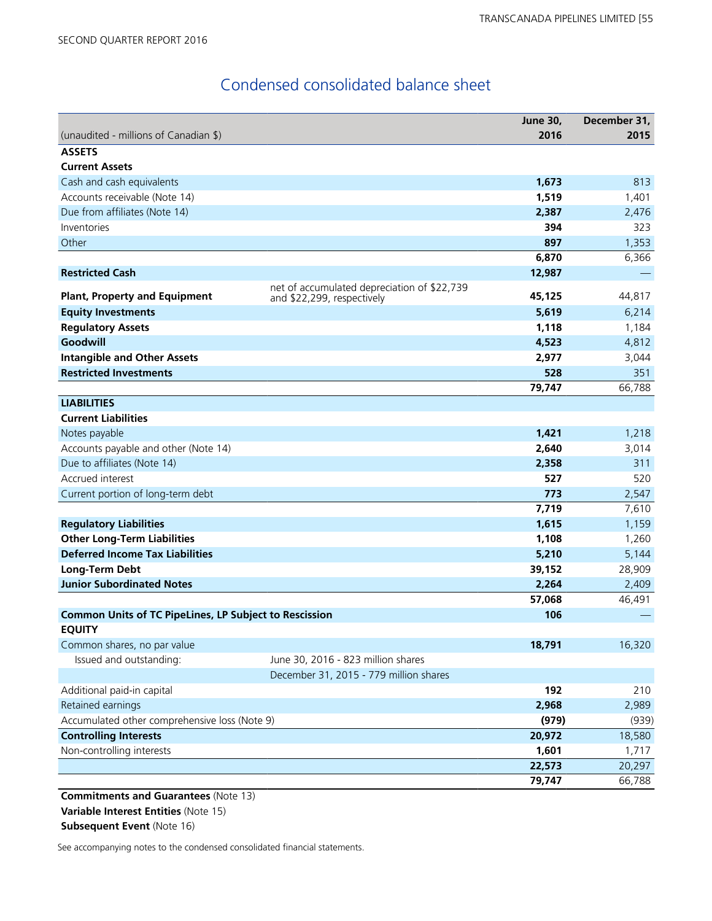## Condensed consolidated balance sheet

|                                                               |                                                                           | <b>June 30,</b> | December 31, |
|---------------------------------------------------------------|---------------------------------------------------------------------------|-----------------|--------------|
| (unaudited - millions of Canadian \$)                         |                                                                           | 2016            | 2015         |
| <b>ASSETS</b>                                                 |                                                                           |                 |              |
| <b>Current Assets</b>                                         |                                                                           |                 |              |
| Cash and cash equivalents                                     |                                                                           | 1,673           | 813          |
| Accounts receivable (Note 14)                                 |                                                                           | 1,519           | 1,401        |
| Due from affiliates (Note 14)                                 |                                                                           | 2,387           | 2,476        |
| Inventories                                                   |                                                                           | 394             | 323          |
| Other                                                         |                                                                           | 897             | 1,353        |
|                                                               |                                                                           | 6,870           | 6,366        |
| <b>Restricted Cash</b>                                        |                                                                           | 12,987          |              |
| <b>Plant, Property and Equipment</b>                          | net of accumulated depreciation of \$22,739<br>and \$22,299, respectively | 45,125          | 44,817       |
| <b>Equity Investments</b>                                     |                                                                           | 5,619           | 6,214        |
| <b>Regulatory Assets</b>                                      |                                                                           | 1,118           | 1,184        |
| Goodwill                                                      |                                                                           | 4,523           | 4,812        |
| <b>Intangible and Other Assets</b>                            |                                                                           | 2,977           | 3,044        |
| <b>Restricted Investments</b>                                 |                                                                           | 528             | 351          |
|                                                               |                                                                           | 79,747          | 66,788       |
| <b>LIABILITIES</b>                                            |                                                                           |                 |              |
| <b>Current Liabilities</b>                                    |                                                                           |                 |              |
| Notes payable                                                 |                                                                           | 1,421           | 1,218        |
| Accounts payable and other (Note 14)                          |                                                                           | 2,640           | 3,014        |
| Due to affiliates (Note 14)                                   |                                                                           | 2,358           | 311          |
| Accrued interest                                              |                                                                           | 527             | 520          |
| Current portion of long-term debt                             |                                                                           | 773             | 2,547        |
|                                                               |                                                                           | 7,719           | 7,610        |
| <b>Regulatory Liabilities</b>                                 |                                                                           | 1,615           | 1,159        |
| <b>Other Long-Term Liabilities</b>                            |                                                                           | 1,108           | 1,260        |
| <b>Deferred Income Tax Liabilities</b>                        |                                                                           | 5,210           | 5,144        |
| Long-Term Debt                                                |                                                                           | 39,152          | 28,909       |
| <b>Junior Subordinated Notes</b>                              |                                                                           | 2,264           | 2,409        |
|                                                               |                                                                           | 57,068          | 46,491       |
| <b>Common Units of TC PipeLines, LP Subject to Rescission</b> |                                                                           | 106             |              |
| <b>EQUITY</b>                                                 |                                                                           |                 |              |
| Common shares, no par value                                   |                                                                           | 18,791          | 16,320       |
| Issued and outstanding:                                       | June 30, 2016 - 823 million shares                                        |                 |              |
|                                                               | December 31, 2015 - 779 million shares                                    |                 |              |
| Additional paid-in capital                                    |                                                                           | 192             | 210          |
| Retained earnings                                             |                                                                           | 2,968           | 2,989        |
| Accumulated other comprehensive loss (Note 9)                 |                                                                           | (979)           | (939)        |
| <b>Controlling Interests</b>                                  |                                                                           | 20,972          | 18,580       |
| Non-controlling interests                                     |                                                                           | 1,601           | 1,717        |
|                                                               |                                                                           | 22,573          | 20,297       |
|                                                               |                                                                           | 79,747          | 66,788       |

**Commitments and Guarantees** (Note 13) **Variable Interest Entities** (Note 15) **Subsequent Event** (Note 16)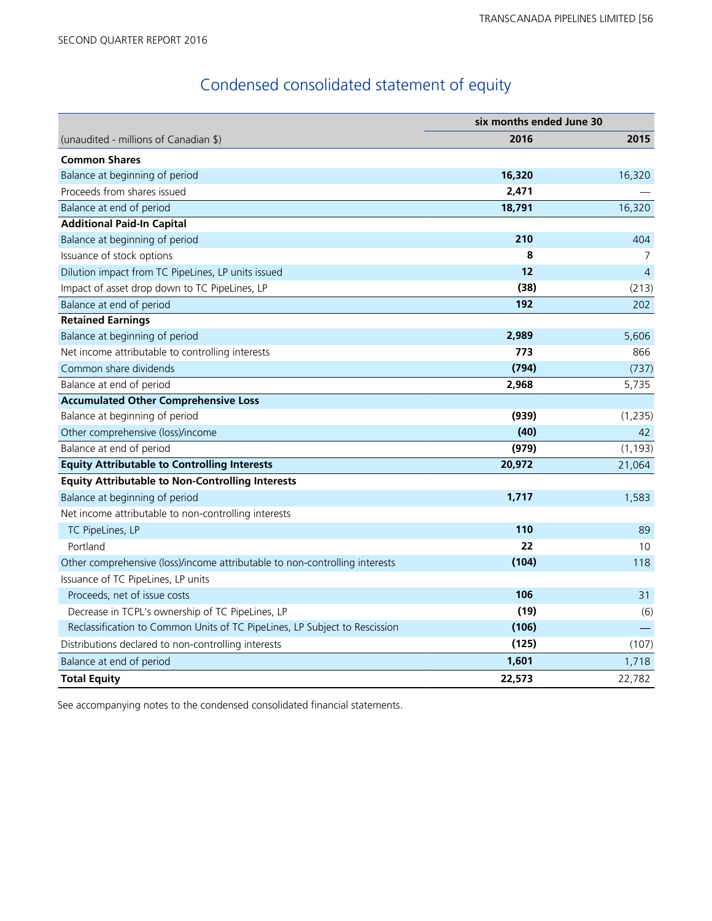# Condensed consolidated statement of equity

|                                                                             | six months ended June 30 |                |  |  |
|-----------------------------------------------------------------------------|--------------------------|----------------|--|--|
| (unaudited - millions of Canadian \$)                                       | 2016                     | 2015           |  |  |
| <b>Common Shares</b>                                                        |                          |                |  |  |
| Balance at beginning of period                                              | 16,320                   | 16,320         |  |  |
| Proceeds from shares issued                                                 | 2,471                    |                |  |  |
| Balance at end of period                                                    | 18,791                   | 16,320         |  |  |
| <b>Additional Paid-In Capital</b>                                           |                          |                |  |  |
| Balance at beginning of period                                              | 210                      | 404            |  |  |
| Issuance of stock options                                                   | 8                        | 7              |  |  |
| Dilution impact from TC PipeLines, LP units issued                          | 12                       | $\overline{4}$ |  |  |
| Impact of asset drop down to TC PipeLines, LP                               | (38)                     | (213)          |  |  |
| Balance at end of period                                                    | 192                      | 202            |  |  |
| <b>Retained Earnings</b>                                                    |                          |                |  |  |
| Balance at beginning of period                                              | 2,989                    | 5,606          |  |  |
| Net income attributable to controlling interests                            | 773                      | 866            |  |  |
| Common share dividends                                                      | (794)                    | (737)          |  |  |
| Balance at end of period                                                    | 2,968                    | 5,735          |  |  |
| <b>Accumulated Other Comprehensive Loss</b>                                 |                          |                |  |  |
| Balance at beginning of period                                              | (939)                    | (1, 235)       |  |  |
| Other comprehensive (loss)/income                                           | (40)                     | 42             |  |  |
| Balance at end of period                                                    | (979)                    | (1, 193)       |  |  |
| <b>Equity Attributable to Controlling Interests</b>                         | 20,972                   | 21,064         |  |  |
| <b>Equity Attributable to Non-Controlling Interests</b>                     |                          |                |  |  |
| Balance at beginning of period                                              | 1,717                    | 1,583          |  |  |
| Net income attributable to non-controlling interests                        |                          |                |  |  |
| TC PipeLines, LP                                                            | 110                      | 89             |  |  |
| Portland                                                                    | 22                       | 10             |  |  |
| Other comprehensive (loss)/income attributable to non-controlling interests | (104)                    | 118            |  |  |
| Issuance of TC PipeLines, LP units                                          |                          |                |  |  |
| Proceeds, net of issue costs                                                | 106                      | 31             |  |  |
| Decrease in TCPL's ownership of TC PipeLines, LP                            | (19)                     | (6)            |  |  |
| Reclassification to Common Units of TC PipeLines, LP Subject to Rescission  | (106)                    |                |  |  |
| Distributions declared to non-controlling interests                         | (125)                    | (107)          |  |  |
| Balance at end of period                                                    | 1,601                    | 1,718          |  |  |
| <b>Total Equity</b>                                                         | 22,573                   | 22,782         |  |  |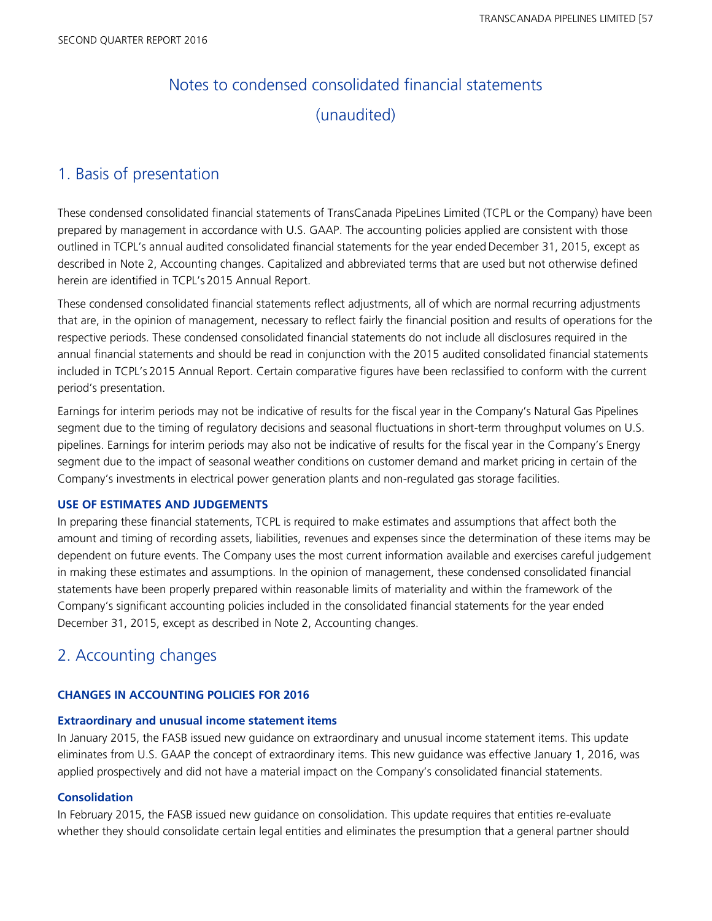# Notes to condensed consolidated financial statements (unaudited)

## 1. Basis of presentation

These condensed consolidated financial statements of TransCanada PipeLines Limited (TCPL or the Company) have been prepared by management in accordance with U.S. GAAP. The accounting policies applied are consistent with those outlined in TCPL's annual audited consolidated financial statements for the year ended December 31, 2015, except as described in Note 2, Accounting changes. Capitalized and abbreviated terms that are used but not otherwise defined herein are identified in TCPL's 2015 Annual Report.

These condensed consolidated financial statements reflect adjustments, all of which are normal recurring adjustments that are, in the opinion of management, necessary to reflect fairly the financial position and results of operations for the respective periods. These condensed consolidated financial statements do not include all disclosures required in the annual financial statements and should be read in conjunction with the 2015 audited consolidated financial statements included in TCPL's 2015 Annual Report. Certain comparative figures have been reclassified to conform with the current period's presentation.

Earnings for interim periods may not be indicative of results for the fiscal year in the Company's Natural Gas Pipelines segment due to the timing of regulatory decisions and seasonal fluctuations in short-term throughput volumes on U.S. pipelines. Earnings for interim periods may also not be indicative of results for the fiscal year in the Company's Energy segment due to the impact of seasonal weather conditions on customer demand and market pricing in certain of the Company's investments in electrical power generation plants and non-regulated gas storage facilities.

#### **USE OF ESTIMATES AND JUDGEMENTS**

In preparing these financial statements, TCPL is required to make estimates and assumptions that affect both the amount and timing of recording assets, liabilities, revenues and expenses since the determination of these items may be dependent on future events. The Company uses the most current information available and exercises careful judgement in making these estimates and assumptions. In the opinion of management, these condensed consolidated financial statements have been properly prepared within reasonable limits of materiality and within the framework of the Company's significant accounting policies included in the consolidated financial statements for the year ended December 31, 2015, except as described in Note 2, Accounting changes.

## 2. Accounting changes

#### **CHANGES IN ACCOUNTING POLICIES FOR 2016**

#### **Extraordinary and unusual income statement items**

In January 2015, the FASB issued new guidance on extraordinary and unusual income statement items. This update eliminates from U.S. GAAP the concept of extraordinary items. This new guidance was effective January 1, 2016, was applied prospectively and did not have a material impact on the Company's consolidated financial statements.

#### **Consolidation**

In February 2015, the FASB issued new guidance on consolidation. This update requires that entities re-evaluate whether they should consolidate certain legal entities and eliminates the presumption that a general partner should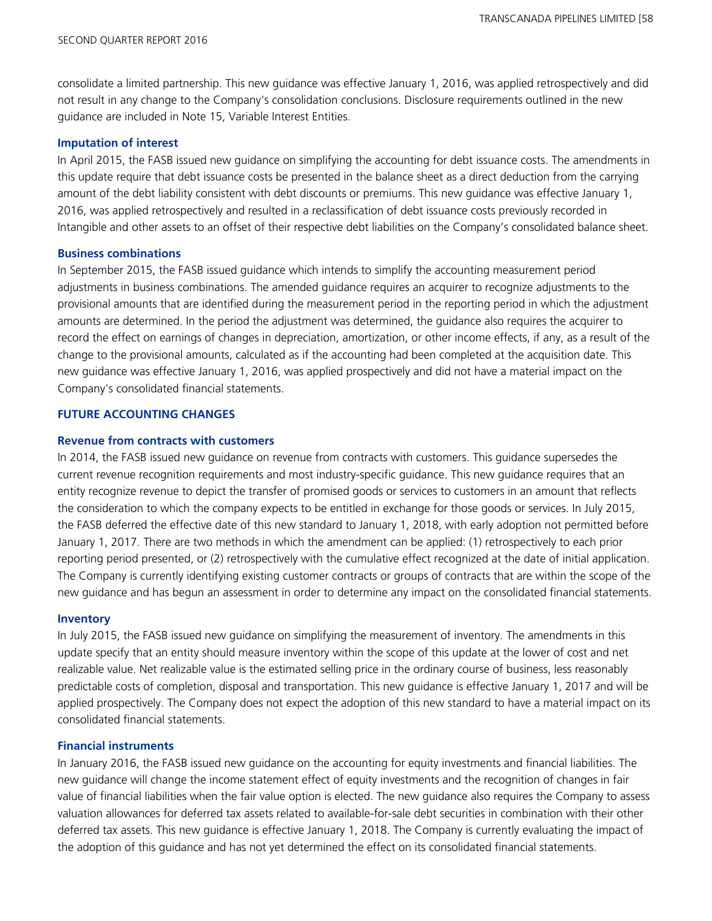consolidate a limited partnership. This new guidance was effective January 1, 2016, was applied retrospectively and did not result in any change to the Company's consolidation conclusions. Disclosure requirements outlined in the new guidance are included in Note 15, Variable Interest Entities.

#### **Imputation of interest**

In April 2015, the FASB issued new guidance on simplifying the accounting for debt issuance costs. The amendments in this update require that debt issuance costs be presented in the balance sheet as a direct deduction from the carrying amount of the debt liability consistent with debt discounts or premiums. This new guidance was effective January 1, 2016, was applied retrospectively and resulted in a reclassification of debt issuance costs previously recorded in Intangible and other assets to an offset of their respective debt liabilities on the Company's consolidated balance sheet.

#### **Business combinations**

In September 2015, the FASB issued guidance which intends to simplify the accounting measurement period adjustments in business combinations. The amended guidance requires an acquirer to recognize adjustments to the provisional amounts that are identified during the measurement period in the reporting period in which the adjustment amounts are determined. In the period the adjustment was determined, the guidance also requires the acquirer to record the effect on earnings of changes in depreciation, amortization, or other income effects, if any, as a result of the change to the provisional amounts, calculated as if the accounting had been completed at the acquisition date. This new guidance was effective January 1, 2016, was applied prospectively and did not have a material impact on the Company's consolidated financial statements.

#### **FUTURE ACCOUNTING CHANGES**

#### **Revenue from contracts with customers**

In 2014, the FASB issued new guidance on revenue from contracts with customers. This guidance supersedes the current revenue recognition requirements and most industry-specific guidance. This new guidance requires that an entity recognize revenue to depict the transfer of promised goods or services to customers in an amount that reflects the consideration to which the company expects to be entitled in exchange for those goods or services. In July 2015, the FASB deferred the effective date of this new standard to January 1, 2018, with early adoption not permitted before January 1, 2017. There are two methods in which the amendment can be applied: (1) retrospectively to each prior reporting period presented, or (2) retrospectively with the cumulative effect recognized at the date of initial application. The Company is currently identifying existing customer contracts or groups of contracts that are within the scope of the new guidance and has begun an assessment in order to determine any impact on the consolidated financial statements.

#### **Inventory**

In July 2015, the FASB issued new guidance on simplifying the measurement of inventory. The amendments in this update specify that an entity should measure inventory within the scope of this update at the lower of cost and net realizable value. Net realizable value is the estimated selling price in the ordinary course of business, less reasonably predictable costs of completion, disposal and transportation. This new guidance is effective January 1, 2017 and will be applied prospectively. The Company does not expect the adoption of this new standard to have a material impact on its consolidated financial statements.

#### **Financial instruments**

In January 2016, the FASB issued new guidance on the accounting for equity investments and financial liabilities. The new guidance will change the income statement effect of equity investments and the recognition of changes in fair value of financial liabilities when the fair value option is elected. The new guidance also requires the Company to assess valuation allowances for deferred tax assets related to available-for-sale debt securities in combination with their other deferred tax assets. This new guidance is effective January 1, 2018. The Company is currently evaluating the impact of the adoption of this guidance and has not yet determined the effect on its consolidated financial statements.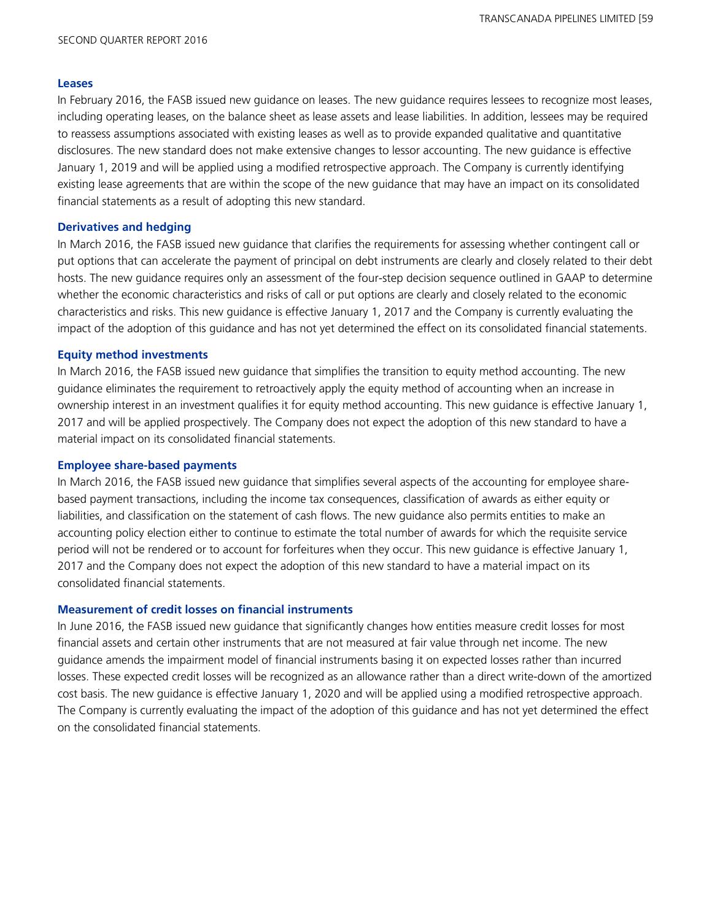#### **Leases**

In February 2016, the FASB issued new guidance on leases. The new guidance requires lessees to recognize most leases, including operating leases, on the balance sheet as lease assets and lease liabilities. In addition, lessees may be required to reassess assumptions associated with existing leases as well as to provide expanded qualitative and quantitative disclosures. The new standard does not make extensive changes to lessor accounting. The new guidance is effective January 1, 2019 and will be applied using a modified retrospective approach. The Company is currently identifying existing lease agreements that are within the scope of the new guidance that may have an impact on its consolidated financial statements as a result of adopting this new standard.

#### **Derivatives and hedging**

In March 2016, the FASB issued new guidance that clarifies the requirements for assessing whether contingent call or put options that can accelerate the payment of principal on debt instruments are clearly and closely related to their debt hosts. The new guidance requires only an assessment of the four-step decision sequence outlined in GAAP to determine whether the economic characteristics and risks of call or put options are clearly and closely related to the economic characteristics and risks. This new guidance is effective January 1, 2017 and the Company is currently evaluating the impact of the adoption of this guidance and has not yet determined the effect on its consolidated financial statements.

#### **Equity method investments**

In March 2016, the FASB issued new guidance that simplifies the transition to equity method accounting. The new guidance eliminates the requirement to retroactively apply the equity method of accounting when an increase in ownership interest in an investment qualifies it for equity method accounting. This new guidance is effective January 1, 2017 and will be applied prospectively. The Company does not expect the adoption of this new standard to have a material impact on its consolidated financial statements.

#### **Employee share-based payments**

In March 2016, the FASB issued new guidance that simplifies several aspects of the accounting for employee sharebased payment transactions, including the income tax consequences, classification of awards as either equity or liabilities, and classification on the statement of cash flows. The new guidance also permits entities to make an accounting policy election either to continue to estimate the total number of awards for which the requisite service period will not be rendered or to account for forfeitures when they occur. This new guidance is effective January 1, 2017 and the Company does not expect the adoption of this new standard to have a material impact on its consolidated financial statements.

#### **Measurement of credit losses on financial instruments**

In June 2016, the FASB issued new guidance that significantly changes how entities measure credit losses for most financial assets and certain other instruments that are not measured at fair value through net income. The new guidance amends the impairment model of financial instruments basing it on expected losses rather than incurred losses. These expected credit losses will be recognized as an allowance rather than a direct write-down of the amortized cost basis. The new guidance is effective January 1, 2020 and will be applied using a modified retrospective approach. The Company is currently evaluating the impact of the adoption of this guidance and has not yet determined the effect on the consolidated financial statements.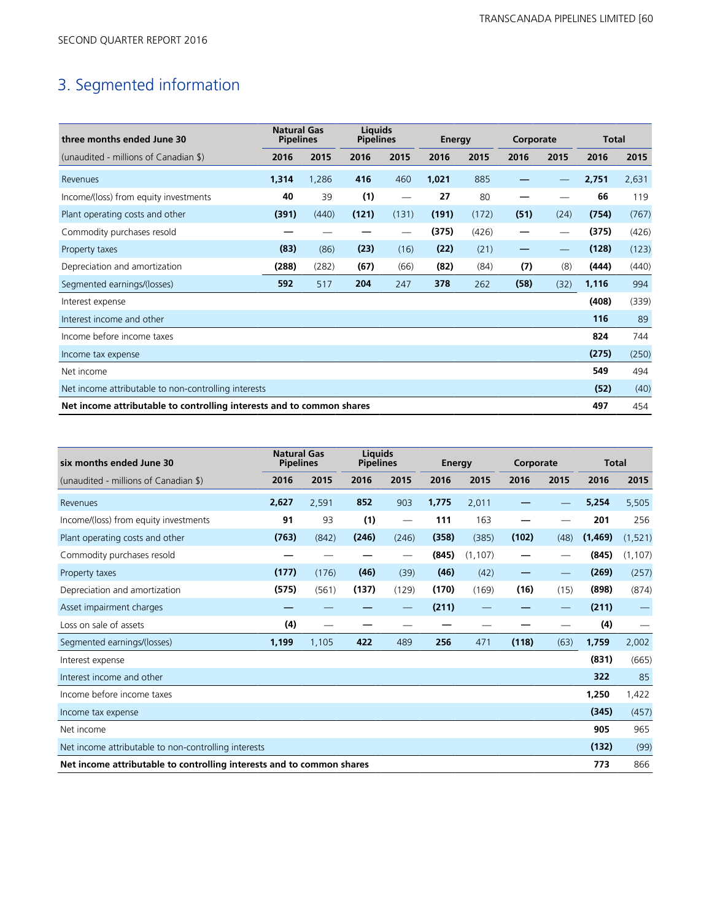# 3. Segmented information

| three months ended June 30                                            | <b>Natural Gas</b><br><b>Pipelines</b> |       | <b>Liquids</b><br><b>Pipelines</b> |       | <b>Energy</b> |       | Corporate |      | Total |       |
|-----------------------------------------------------------------------|----------------------------------------|-------|------------------------------------|-------|---------------|-------|-----------|------|-------|-------|
| (unaudited - millions of Canadian \$)                                 | 2016                                   | 2015  | 2016                               | 2015  | 2016          | 2015  | 2016      | 2015 | 2016  | 2015  |
| Revenues                                                              | 1,314                                  | 1,286 | 416                                | 460   | 1,021         | 885   |           |      | 2,751 | 2,631 |
| Income/(loss) from equity investments                                 | 40                                     | 39    | (1)                                |       | 27            | 80    |           |      | 66    | 119   |
| Plant operating costs and other                                       | (391)                                  | (440) | (121)                              | (131) | (191)         | (172) | (51)      | (24) | (754) | (767) |
| Commodity purchases resold                                            |                                        |       |                                    |       | (375)         | (426) |           |      | (375) | (426) |
| Property taxes                                                        | (83)                                   | (86)  | (23)                               | (16)  | (22)          | (21)  |           |      | (128) | (123) |
| Depreciation and amortization                                         | (288)                                  | (282) | (67)                               | (66)  | (82)          | (84)  | (7)       | (8)  | (444) | (440) |
| Segmented earnings/(losses)                                           | 592                                    | 517   | 204                                | 247   | 378           | 262   | (58)      | (32) | 1,116 | 994   |
| Interest expense                                                      |                                        |       |                                    |       |               |       |           |      | (408) | (339) |
| Interest income and other                                             |                                        |       |                                    |       |               |       |           |      | 116   | 89    |
| Income before income taxes                                            |                                        |       |                                    |       |               |       |           |      | 824   | 744   |
| Income tax expense                                                    |                                        |       |                                    |       |               |       |           |      | (275) | (250) |
| Net income                                                            |                                        |       |                                    |       |               |       |           |      | 549   | 494   |
| Net income attributable to non-controlling interests                  |                                        |       |                                    |       |               |       |           |      | (52)  | (40)  |
| Net income attributable to controlling interests and to common shares |                                        |       |                                    |       |               |       | 497       | 454  |       |       |

| six months ended June 30                                                     | <b>Natural Gas</b><br><b>Pipelines</b> |       | Liquids<br><b>Pipelines</b> |                                                                                                                                                                                                                                                                                                                                                                                               | <b>Energy</b> |                                | Corporate |                          | <b>Total</b> |          |
|------------------------------------------------------------------------------|----------------------------------------|-------|-----------------------------|-----------------------------------------------------------------------------------------------------------------------------------------------------------------------------------------------------------------------------------------------------------------------------------------------------------------------------------------------------------------------------------------------|---------------|--------------------------------|-----------|--------------------------|--------------|----------|
| (unaudited - millions of Canadian \$)                                        | 2016                                   | 2015  | 2016                        | 2015                                                                                                                                                                                                                                                                                                                                                                                          | 2016          | 2015                           | 2016      | 2015                     | 2016         | 2015     |
| Revenues                                                                     | 2,627                                  | 2,591 | 852                         | 903                                                                                                                                                                                                                                                                                                                                                                                           | 1,775         | 2,011                          |           |                          | 5,254        | 5,505    |
| Income/(loss) from equity investments                                        | 91                                     | 93    | (1)                         | $\hspace{1.0cm} \overline{\hspace{1.0cm} \hspace{1.0cm} \hspace{1.0cm} } \hspace{1.0cm} \hspace{1.0cm} \overline{\hspace{1.0cm} \hspace{1.0cm} \hspace{1.0cm} } \hspace{1.0cm} \hspace{1.0cm} \overline{\hspace{1.0cm} \hspace{1.0cm} \hspace{1.0cm} } \hspace{1.0cm} \hspace{1.0cm} \overline{\hspace{1.0cm} \hspace{1.0cm} \hspace{1.0cm} } \hspace{1.0cm} \hspace{1.0cm} \hspace{1.0cm} }$ | 111           | 163                            |           |                          | 201          | 256      |
| Plant operating costs and other                                              | (763)                                  | (842) | (246)                       | (246)                                                                                                                                                                                                                                                                                                                                                                                         | (358)         | (385)                          | (102)     | (48)                     | (1, 469)     | (1, 521) |
| Commodity purchases resold                                                   |                                        |       |                             |                                                                                                                                                                                                                                                                                                                                                                                               | (845)         | (1, 107)                       |           | $\overline{\phantom{0}}$ | (845)        | (1, 107) |
| Property taxes                                                               | (177)                                  | (176) | (46)                        | (39)                                                                                                                                                                                                                                                                                                                                                                                          | (46)          | (42)                           |           |                          | (269)        | (257)    |
| Depreciation and amortization                                                | (575)                                  | (561) | (137)                       | (129)                                                                                                                                                                                                                                                                                                                                                                                         | (170)         | (169)                          | (16)      | (15)                     | (898)        | (874)    |
| Asset impairment charges                                                     |                                        |       |                             |                                                                                                                                                                                                                                                                                                                                                                                               | (211)         | $\qquad \qquad \longleftarrow$ |           |                          | (211)        |          |
| Loss on sale of assets                                                       | (4)                                    |       |                             |                                                                                                                                                                                                                                                                                                                                                                                               |               |                                |           |                          | (4)          |          |
| Segmented earnings/(losses)                                                  | 1,199                                  | 1,105 | 422                         | 489                                                                                                                                                                                                                                                                                                                                                                                           | 256           | 471                            | (118)     | (63)                     | 1,759        | 2,002    |
| Interest expense                                                             |                                        |       |                             |                                                                                                                                                                                                                                                                                                                                                                                               |               |                                |           |                          | (831)        | (665)    |
| Interest income and other                                                    |                                        |       |                             |                                                                                                                                                                                                                                                                                                                                                                                               |               |                                |           |                          | 322          | 85       |
| Income before income taxes                                                   |                                        |       |                             |                                                                                                                                                                                                                                                                                                                                                                                               |               |                                |           |                          | 1,250        | 1,422    |
| Income tax expense                                                           |                                        |       |                             |                                                                                                                                                                                                                                                                                                                                                                                               |               |                                |           |                          | (345)        | (457)    |
| Net income                                                                   |                                        |       |                             |                                                                                                                                                                                                                                                                                                                                                                                               |               |                                |           |                          | 905          | 965      |
| Net income attributable to non-controlling interests                         |                                        |       |                             |                                                                                                                                                                                                                                                                                                                                                                                               |               |                                |           |                          | (132)        | (99)     |
| Net income attributable to controlling interests and to common shares<br>773 |                                        |       |                             |                                                                                                                                                                                                                                                                                                                                                                                               |               |                                |           | 866                      |              |          |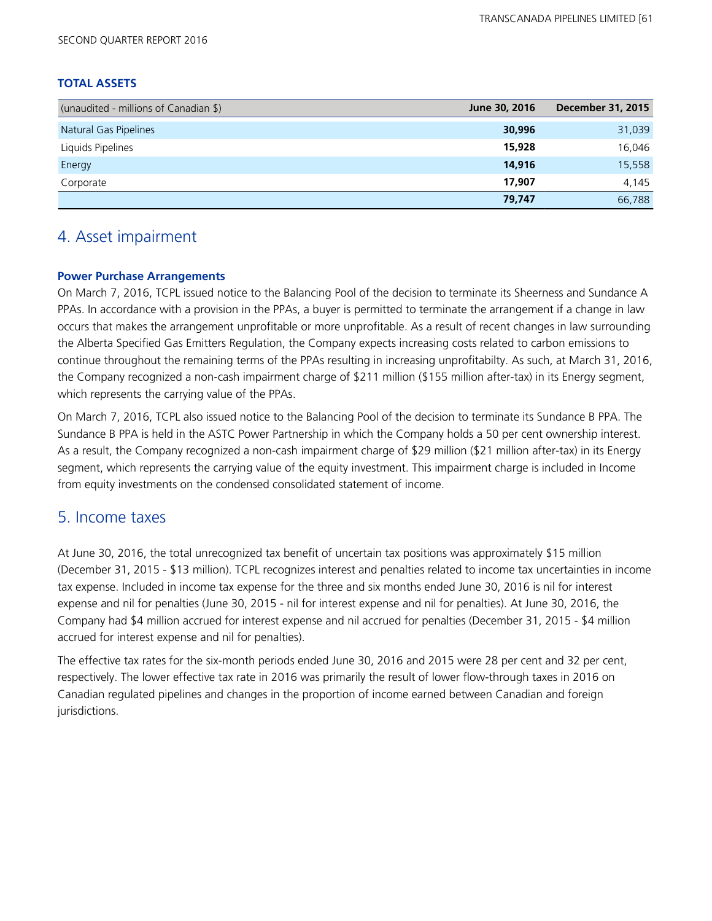#### **TOTAL ASSETS**

| (unaudited - millions of Canadian \$) | June 30, 2016 | <b>December 31, 2015</b> |
|---------------------------------------|---------------|--------------------------|
| Natural Gas Pipelines                 | 30,996        | 31,039                   |
| Liquids Pipelines                     | 15,928        | 16,046                   |
| Energy                                | 14,916        | 15,558                   |
| Corporate                             | 17,907        | 4,145                    |
|                                       | 79,747        | 66,788                   |

### 4. Asset impairment

#### **Power Purchase Arrangements**

On March 7, 2016, TCPL issued notice to the Balancing Pool of the decision to terminate its Sheerness and Sundance A PPAs. In accordance with a provision in the PPAs, a buyer is permitted to terminate the arrangement if a change in law occurs that makes the arrangement unprofitable or more unprofitable. As a result of recent changes in law surrounding the Alberta Specified Gas Emitters Regulation, the Company expects increasing costs related to carbon emissions to continue throughout the remaining terms of the PPAs resulting in increasing unprofitabilty. As such, at March 31, 2016, the Company recognized a non-cash impairment charge of \$211 million (\$155 million after-tax) in its Energy segment, which represents the carrying value of the PPAs.

On March 7, 2016, TCPL also issued notice to the Balancing Pool of the decision to terminate its Sundance B PPA. The Sundance B PPA is held in the ASTC Power Partnership in which the Company holds a 50 per cent ownership interest. As a result, the Company recognized a non-cash impairment charge of \$29 million (\$21 million after-tax) in its Energy segment, which represents the carrying value of the equity investment. This impairment charge is included in Income from equity investments on the condensed consolidated statement of income.

### 5. Income taxes

At June 30, 2016, the total unrecognized tax benefit of uncertain tax positions was approximately \$15 million (December 31, 2015 - \$13 million). TCPL recognizes interest and penalties related to income tax uncertainties in income tax expense. Included in income tax expense for the three and six months ended June 30, 2016 is nil for interest expense and nil for penalties (June 30, 2015 - nil for interest expense and nil for penalties). At June 30, 2016, the Company had \$4 million accrued for interest expense and nil accrued for penalties (December 31, 2015 - \$4 million accrued for interest expense and nil for penalties).

The effective tax rates for the six-month periods ended June 30, 2016 and 2015 were 28 per cent and 32 per cent, respectively. The lower effective tax rate in 2016 was primarily the result of lower flow-through taxes in 2016 on Canadian regulated pipelines and changes in the proportion of income earned between Canadian and foreign jurisdictions.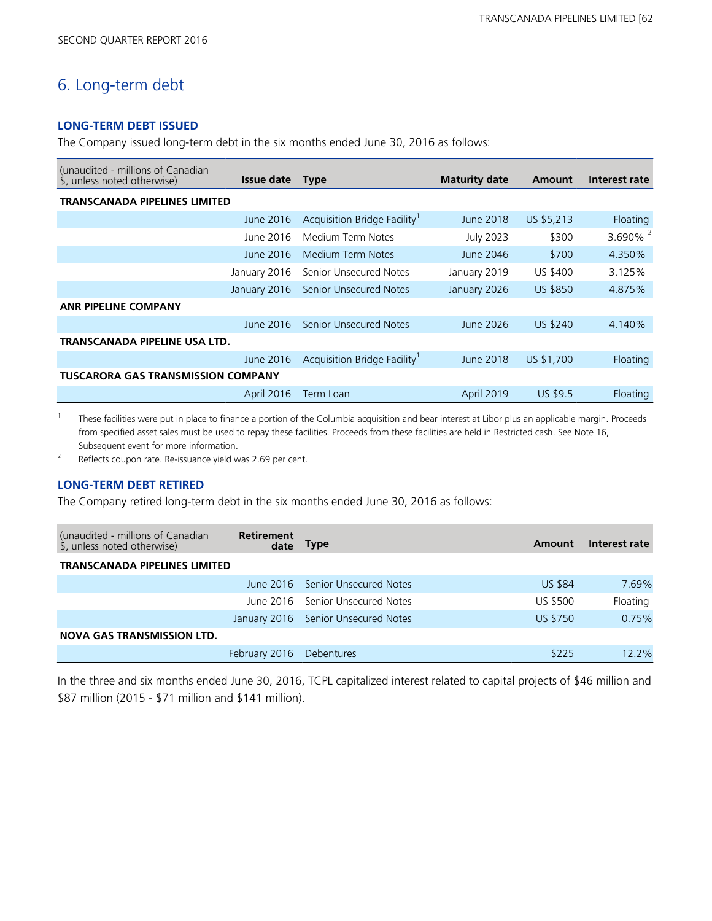## 6. Long-term debt

#### **LONG-TERM DEBT ISSUED**

The Company issued long-term debt in the six months ended June 30, 2016 as follows:

| (unaudited - millions of Canadian<br>\$, unless noted otherwise) | <b>Issue date</b> | <b>Type</b>                              | <b>Maturity date</b> | Amount          | Interest rate |
|------------------------------------------------------------------|-------------------|------------------------------------------|----------------------|-----------------|---------------|
| <b>TRANSCANADA PIPELINES LIMITED</b>                             |                   |                                          |                      |                 |               |
|                                                                  | June 2016         | Acquisition Bridge Facility <sup>1</sup> | June 2018            | US \$5,213      | Floating      |
|                                                                  | June 2016         | Medium Term Notes                        | <b>July 2023</b>     | \$300           | 3.690% $^{2}$ |
|                                                                  | June 2016         | Medium Term Notes                        | June 2046            | \$700           | 4.350%        |
|                                                                  | January 2016      | Senior Unsecured Notes                   | January 2019         | US \$400        | 3.125%        |
|                                                                  | January 2016      | <b>Senior Unsecured Notes</b>            | January 2026         | US \$850        | 4.875%        |
| <b>ANR PIPELINE COMPANY</b>                                      |                   |                                          |                      |                 |               |
|                                                                  | June 2016         | <b>Senior Unsecured Notes</b>            | June 2026            | <b>US \$240</b> | 4.140%        |
| TRANSCANADA PIPELINE USA LTD.                                    |                   |                                          |                      |                 |               |
|                                                                  | June 2016         | Acquisition Bridge Facility <sup>1</sup> | June 2018            | US \$1,700      | Floating      |
| <b>TUSCARORA GAS TRANSMISSION COMPANY</b>                        |                   |                                          |                      |                 |               |
|                                                                  | April 2016        | Term Loan                                | April 2019           | <b>US \$9.5</b> | Floating      |

<sup>1</sup> These facilities were put in place to finance a portion of the Columbia acquisition and bear interest at Libor plus an applicable margin. Proceeds from specified asset sales must be used to repay these facilities. Proceeds from these facilities are held in Restricted cash. See Note 16, Subsequent event for more information.

 $2^2$  Reflects coupon rate. Re-issuance yield was 2.69 per cent.

#### **LONG-TERM DEBT RETIRED**

The Company retired long-term debt in the six months ended June 30, 2016 as follows:

| (unaudited - millions of Canadian<br>\$, unless noted otherwise) | <b>Retirement</b><br>date | <b>Type</b>                         | Amount          | Interest rate |
|------------------------------------------------------------------|---------------------------|-------------------------------------|-----------------|---------------|
| <b>TRANSCANADA PIPELINES LIMITED</b>                             |                           |                                     |                 |               |
|                                                                  |                           | June 2016 Senior Unsecured Notes    | <b>US \$84</b>  | 7.69%         |
|                                                                  |                           | June 2016 Senior Unsecured Notes    | <b>US \$500</b> | Floating      |
|                                                                  |                           | January 2016 Senior Unsecured Notes | <b>US \$750</b> | 0.75%         |
| <b>NOVA GAS TRANSMISSION LTD.</b>                                |                           |                                     |                 |               |
|                                                                  | February 2016 Debentures  |                                     | \$225           | $12.2\%$      |

In the three and six months ended June 30, 2016, TCPL capitalized interest related to capital projects of \$46 million and \$87 million (2015 - \$71 million and \$141 million).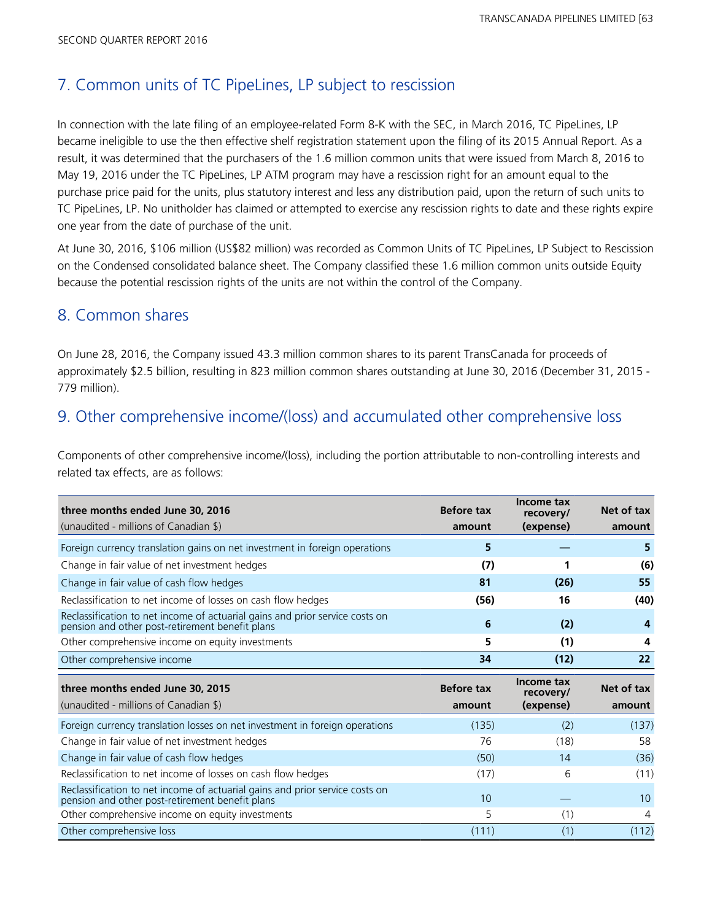## 7. Common units of TC PipeLines, LP subject to rescission

In connection with the late filing of an employee-related Form 8-K with the SEC, in March 2016, TC PipeLines, LP became ineligible to use the then effective shelf registration statement upon the filing of its 2015 Annual Report. As a result, it was determined that the purchasers of the 1.6 million common units that were issued from March 8, 2016 to May 19, 2016 under the TC PipeLines, LP ATM program may have a rescission right for an amount equal to the purchase price paid for the units, plus statutory interest and less any distribution paid, upon the return of such units to TC PipeLines, LP. No unitholder has claimed or attempted to exercise any rescission rights to date and these rights expire one year from the date of purchase of the unit.

At June 30, 2016, \$106 million (US\$82 million) was recorded as Common Units of TC PipeLines, LP Subject to Rescission on the Condensed consolidated balance sheet. The Company classified these 1.6 million common units outside Equity because the potential rescission rights of the units are not within the control of the Company.

### 8. Common shares

On June 28, 2016, the Company issued 43.3 million common shares to its parent TransCanada for proceeds of approximately \$2.5 billion, resulting in 823 million common shares outstanding at June 30, 2016 (December 31, 2015 - 779 million).

### 9. Other comprehensive income/(loss) and accumulated other comprehensive loss

Components of other comprehensive income/(loss), including the portion attributable to non-controlling interests and related tax effects, are as follows:

| three months ended June 30, 2016                                                                                                | <b>Before tax</b> | Income tax<br>recovery/ | Net of tax |
|---------------------------------------------------------------------------------------------------------------------------------|-------------------|-------------------------|------------|
| (unaudited - millions of Canadian \$)                                                                                           | amount            | (expense)               | amount     |
| Foreign currency translation gains on net investment in foreign operations                                                      | 5                 |                         | 5          |
| Change in fair value of net investment hedges                                                                                   | (7)               | 1                       | (6)        |
| Change in fair value of cash flow hedges                                                                                        | 81                | (26)                    | 55         |
| Reclassification to net income of losses on cash flow hedges                                                                    | (56)              | 16                      | (40)       |
| Reclassification to net income of actuarial gains and prior service costs on<br>pension and other post-retirement benefit plans | 6                 | (2)                     | 4          |
| Other comprehensive income on equity investments                                                                                | 5                 | (1)                     | 4          |
| Other comprehensive income                                                                                                      | 34                | (12)                    | 22         |
|                                                                                                                                 |                   |                         |            |
|                                                                                                                                 | <b>Before tax</b> | Income tax              | Net of tax |
| three months ended June 30, 2015<br>(unaudited - millions of Canadian \$)                                                       | amount            | recovery/<br>(expense)  | amount     |
| Foreign currency translation losses on net investment in foreign operations                                                     | (135)             | (2)                     | (137)      |
| Change in fair value of net investment hedges                                                                                   | 76                | (18)                    | 58         |
| Change in fair value of cash flow hedges                                                                                        | (50)              | 14                      | (36)       |
| Reclassification to net income of losses on cash flow hedges                                                                    | (17)              | 6                       | (11)       |
| Reclassification to net income of actuarial gains and prior service costs on<br>pension and other post-retirement benefit plans | 10                |                         | 10         |
| Other comprehensive income on equity investments                                                                                | 5                 | (1)                     | 4          |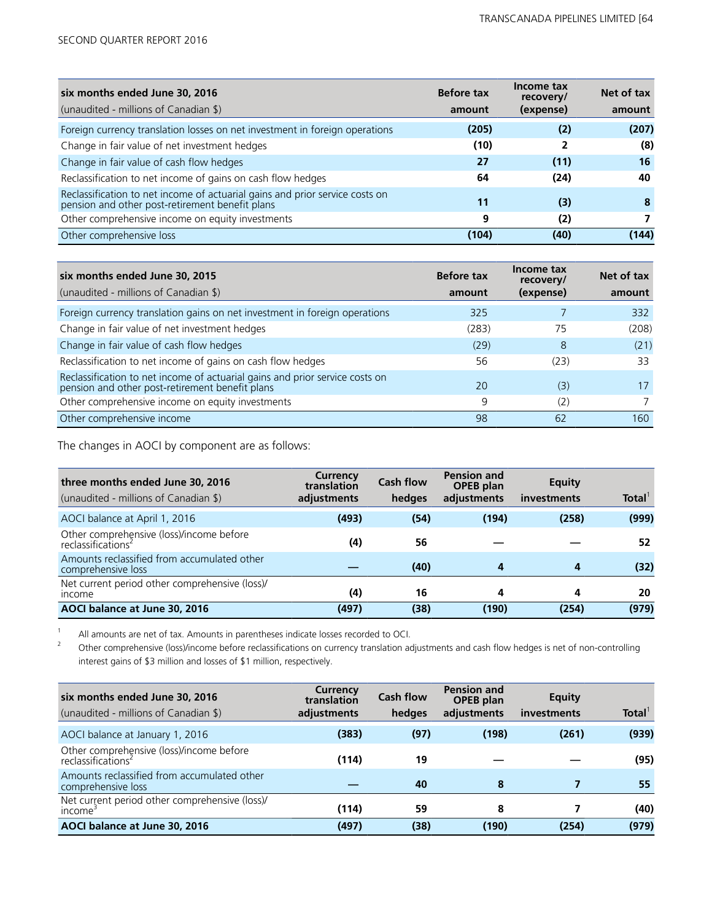| six months ended June 30, 2016<br>(unaudited - millions of Canadian \$)                                                         | <b>Before tax</b><br>amount | Income tax<br>recovery/<br>(expense) | Net of tax<br>amount |
|---------------------------------------------------------------------------------------------------------------------------------|-----------------------------|--------------------------------------|----------------------|
|                                                                                                                                 | (205)                       | (2)                                  | (207)                |
| Foreign currency translation losses on net investment in foreign operations                                                     |                             |                                      |                      |
| Change in fair value of net investment hedges                                                                                   | (10)                        | 2                                    | (8)                  |
| Change in fair value of cash flow hedges                                                                                        | 27                          | (11)                                 | 16                   |
| Reclassification to net income of gains on cash flow hedges                                                                     | 64                          | (24)                                 | 40                   |
| Reclassification to net income of actuarial gains and prior service costs on<br>pension and other post-retirement benefit plans | 11                          | (3)                                  | 8                    |
| Other comprehensive income on equity investments                                                                                | 9                           | (2)                                  |                      |
| Other comprehensive loss                                                                                                        | (104)                       | (40)                                 | (144)                |

| six months ended June 30, 2015                                                                                                  | <b>Before tax</b> | Income tax<br>recovery/ | Net of tax |
|---------------------------------------------------------------------------------------------------------------------------------|-------------------|-------------------------|------------|
| (unaudited - millions of Canadian \$)                                                                                           | amount            | (expense)               | amount     |
| Foreign currency translation gains on net investment in foreign operations                                                      | 325               |                         | 332        |
| Change in fair value of net investment hedges                                                                                   | (283)             | 75                      | (208)      |
| Change in fair value of cash flow hedges                                                                                        | (29)              | 8                       | (21)       |
| Reclassification to net income of gains on cash flow hedges                                                                     | 56                | (23)                    | 33         |
| Reclassification to net income of actuarial gains and prior service costs on<br>pension and other post-retirement benefit plans | 20                | (3)                     | 17         |
| Other comprehensive income on equity investments                                                                                | 9                 | (2)                     |            |
| Other comprehensive income                                                                                                      | 98                | 62                      | 160        |

The changes in AOCI by component are as follows:

| three months ended June 30, 2016<br>(unaudited - millions of Canadian \$)  | <b>Currency</b><br>translation<br>adjustments | <b>Cash flow</b><br>hedges | <b>Pension and</b><br><b>OPEB</b> plan<br>adjustments | <b>Equity</b><br>investments | $\mathsf{Total}^{\scriptscriptstyle \top}$ |
|----------------------------------------------------------------------------|-----------------------------------------------|----------------------------|-------------------------------------------------------|------------------------------|--------------------------------------------|
| AOCI balance at April 1, 2016                                              | (493)                                         | (54)                       | (194)                                                 | (258)                        | (999)                                      |
| Other comprehensive (loss)/income before<br>reclassifications <sup>2</sup> | (4)                                           | 56                         |                                                       |                              | 52                                         |
| Amounts reclassified from accumulated other<br>comprehensive loss          |                                               | (40)                       | 4                                                     | 4                            | (32)                                       |
| Net current period other comprehensive (loss)/<br><i>income</i>            | (4)                                           | 16                         | 4                                                     | 4                            | 20                                         |
| AOCI balance at June 30, 2016                                              | (497)                                         | (38)                       | (190)                                                 | (254)                        | (979)                                      |

<sup>1</sup> All amounts are net of tax. Amounts in parentheses indicate losses recorded to OCI.<br><sup>2</sup> Other comprehensive (loss)/income before reclassifications on currency translation as

<sup>2</sup>Other comprehensive (loss)/income before reclassifications on currency translation adjustments and cash flow hedges is net of non-controlling interest gains of \$3 million and losses of \$1 million, respectively.

| six months ended June 30, 2016<br>(unaudited - millions of Canadian \$)    | Currency<br>translation<br>adjustments | <b>Cash flow</b><br>hedges | <b>Pension and</b><br><b>OPEB</b> plan<br>adjustments | <b>Equity</b><br>investments | Total <sup>1</sup> |
|----------------------------------------------------------------------------|----------------------------------------|----------------------------|-------------------------------------------------------|------------------------------|--------------------|
| AOCI balance at January 1, 2016                                            | (383)                                  | (97)                       | (198)                                                 | (261)                        | (939)              |
| Other comprehensive (loss)/income before<br>reclassifications <sup>2</sup> | (114)                                  | 19                         |                                                       |                              | (95)               |
| Amounts reclassified from accumulated other<br>comprehensive loss          |                                        | 40                         | 8                                                     |                              | 55                 |
| Net current period other comprehensive (loss)/<br>income <sup>-</sup>      | (114)                                  | 59                         | 8                                                     |                              | (40)               |
| AOCI balance at June 30, 2016                                              | (497)                                  | (38)                       | (190)                                                 | (254)                        | (979)              |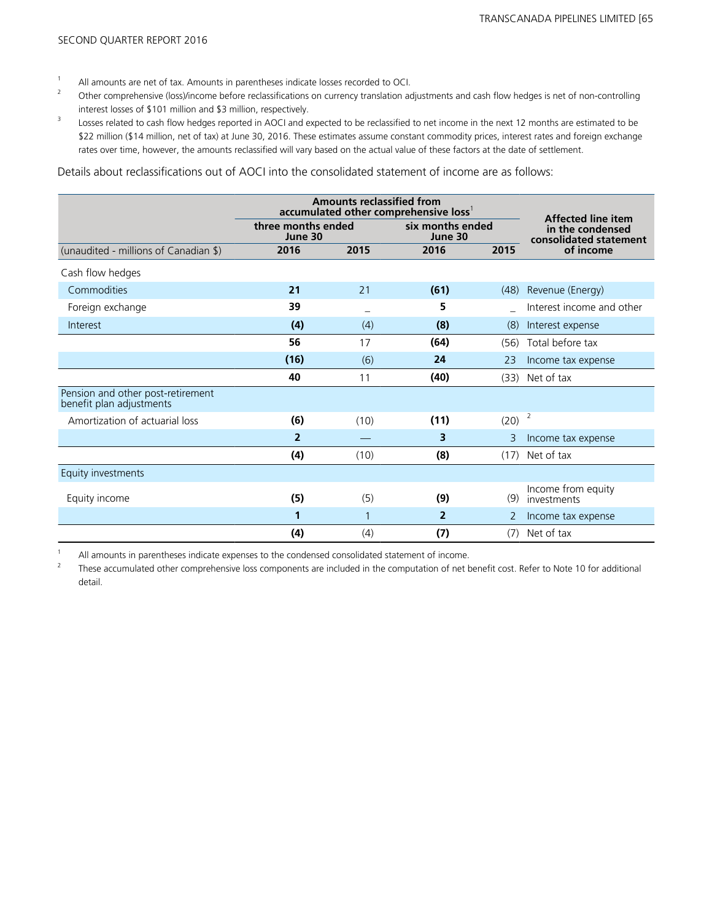- <sup>1</sup> All amounts are net of tax. Amounts in parentheses indicate losses recorded to OCI.
- <sup>2</sup>Other comprehensive (loss)/income before reclassifications on currency translation adjustments and cash flow hedges is net of non-controlling interest losses of \$101 million and \$3 million, respectively.
- <sup>3</sup> Losses related to cash flow hedges reported in AOCI and expected to be reclassified to net income in the next 12 months are estimated to be \$22 million (\$14 million, net of tax) at June 30, 2016. These estimates assume constant commodity prices, interest rates and foreign exchange rates over time, however, the amounts reclassified will vary based on the actual value of these factors at the date of settlement.

Details about reclassifications out of AOCI into the consolidated statement of income are as follows:

|                                                               | <b>Amounts reclassified from</b><br>accumulated other comprehensive loss' |            |                             |      |                                                                         |
|---------------------------------------------------------------|---------------------------------------------------------------------------|------------|-----------------------------|------|-------------------------------------------------------------------------|
|                                                               | three months ended<br>June 30                                             |            | six months ended<br>June 30 |      | <b>Affected line item</b><br>in the condensed<br>consolidated statement |
| (unaudited - millions of Canadian \$)                         | 2016                                                                      | 2015       | 2016                        | 2015 | of income                                                               |
| Cash flow hedges                                              |                                                                           |            |                             |      |                                                                         |
| Commodities                                                   | 21                                                                        | 21         | (61)                        | (48) | Revenue (Energy)                                                        |
| Foreign exchange                                              | 39                                                                        |            | 5                           |      | Interest income and other                                               |
| Interest                                                      | (4)                                                                       | (4)        | (8)                         | (8)  | Interest expense                                                        |
|                                                               | 56                                                                        | (64)<br>17 |                             | (56) | Total before tax                                                        |
|                                                               | (16)                                                                      | (6)        | 24                          | 23   | Income tax expense                                                      |
|                                                               | 40                                                                        | 11         | (40)                        | (33) | Net of tax                                                              |
| Pension and other post-retirement<br>benefit plan adjustments |                                                                           |            |                             |      |                                                                         |
| Amortization of actuarial loss                                | (6)                                                                       | (10)       | (11)                        | (20) | 2                                                                       |
|                                                               | $\overline{2}$                                                            |            | 3                           | 3.   | Income tax expense                                                      |
|                                                               | (4)                                                                       | (10)       | (8)                         | (17) | Net of tax                                                              |
| Equity investments                                            |                                                                           |            |                             |      |                                                                         |
| Equity income                                                 | (5)                                                                       | (5)        | (9)                         | (9)  | Income from equity<br>investments                                       |
|                                                               | 1                                                                         |            | 2                           | 2    | Income tax expense                                                      |
|                                                               | (4)                                                                       | (4)        | (7)                         | (7)  | Net of tax                                                              |

<sup>1</sup> All amounts in parentheses indicate expenses to the condensed consolidated statement of income.<br><sup>2</sup> These assumulated other comprehensive loss components are included in the computation of net **b** 

These accumulated other comprehensive loss components are included in the computation of net benefit cost. Refer to Note 10 for additional detail.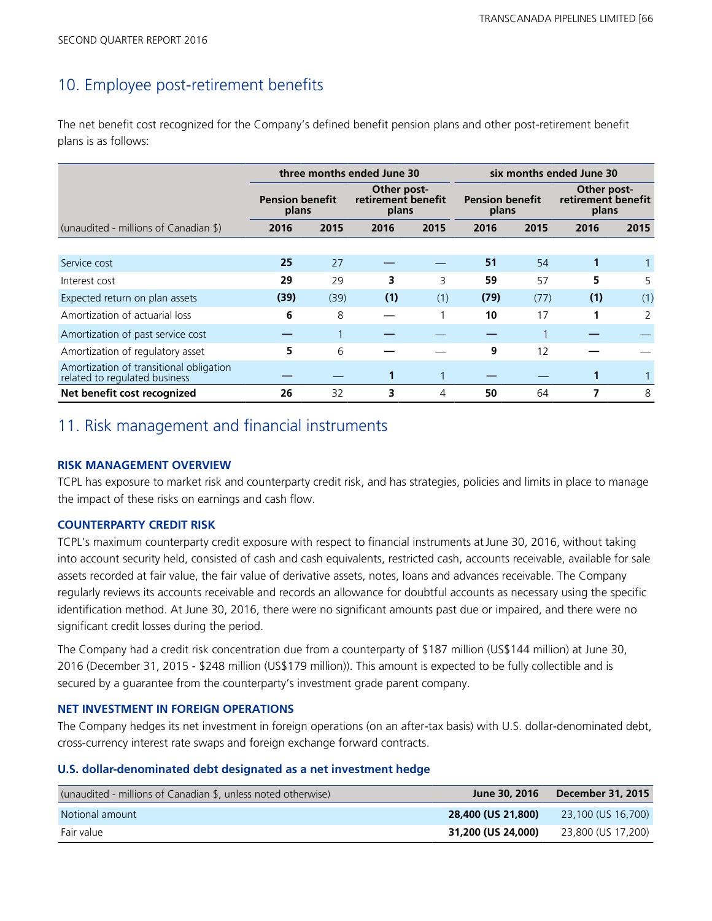## 10. Employee post-retirement benefits

The net benefit cost recognized for the Company's defined benefit pension plans and other post-retirement benefit plans is as follows:

|                                                                          | three months ended June 30 |                                                                               |      |                                 | six months ended June 30 |                                            |      |      |
|--------------------------------------------------------------------------|----------------------------|-------------------------------------------------------------------------------|------|---------------------------------|--------------------------|--------------------------------------------|------|------|
|                                                                          |                            | Other post-<br>retirement benefit<br><b>Pension benefit</b><br>plans<br>plans |      | <b>Pension benefit</b><br>plans |                          | Other post-<br>retirement benefit<br>plans |      |      |
| (unaudited - millions of Canadian \$)                                    | 2016                       | 2015                                                                          | 2016 | 2015                            | 2016                     | 2015                                       | 2016 | 2015 |
|                                                                          |                            |                                                                               |      |                                 |                          |                                            |      |      |
| Service cost                                                             | 25                         | 27                                                                            |      |                                 | 51                       | 54                                         | 1    |      |
| Interest cost                                                            | 29                         | 29                                                                            | 3    | 3                               | 59                       | 57                                         | 5    | 5    |
| Expected return on plan assets                                           | (39)                       | (39)                                                                          | (1)  | (1)                             | (79)                     | (77)                                       | (1)  | (1)  |
| Amortization of actuarial loss                                           | 6                          | 8                                                                             |      |                                 | 10                       | 17                                         |      | 2    |
| Amortization of past service cost                                        |                            | $\mathbf{1}$                                                                  |      |                                 |                          |                                            |      |      |
| Amortization of regulatory asset                                         | 5                          | 6                                                                             |      |                                 | 9                        | 12                                         |      |      |
| Amortization of transitional obligation<br>related to regulated business |                            |                                                                               |      |                                 |                          |                                            |      |      |
| Net benefit cost recognized                                              | 26                         | 32                                                                            | 3    | 4                               | 50                       | 64                                         |      | 8    |

## 11. Risk management and financial instruments

#### **RISK MANAGEMENT OVERVIEW**

TCPL has exposure to market risk and counterparty credit risk, and has strategies, policies and limits in place to manage the impact of these risks on earnings and cash flow.

#### **COUNTERPARTY CREDIT RISK**

TCPL's maximum counterparty credit exposure with respect to financial instruments at June 30, 2016, without taking into account security held, consisted of cash and cash equivalents, restricted cash, accounts receivable, available for sale assets recorded at fair value, the fair value of derivative assets, notes, loans and advances receivable. The Company regularly reviews its accounts receivable and records an allowance for doubtful accounts as necessary using the specific identification method. At June 30, 2016, there were no significant amounts past due or impaired, and there were no significant credit losses during the period.

The Company had a credit risk concentration due from a counterparty of \$187 million (US\$144 million) at June 30, 2016 (December 31, 2015 - \$248 million (US\$179 million)). This amount is expected to be fully collectible and is secured by a guarantee from the counterparty's investment grade parent company.

#### **NET INVESTMENT IN FOREIGN OPERATIONS**

The Company hedges its net investment in foreign operations (on an after-tax basis) with U.S. dollar-denominated debt, cross-currency interest rate swaps and foreign exchange forward contracts.

#### **U.S. dollar-denominated debt designated as a net investment hedge**

| (unaudited - millions of Canadian \$, unless noted otherwise) | June 30, 2016             | December 31, 2015  |
|---------------------------------------------------------------|---------------------------|--------------------|
| Notional amount                                               | <b>28,400 (US 21,800)</b> | 23,100 (US 16,700) |
| Fair value                                                    | 31,200 (US 24,000)        | 23,800 (US 17,200) |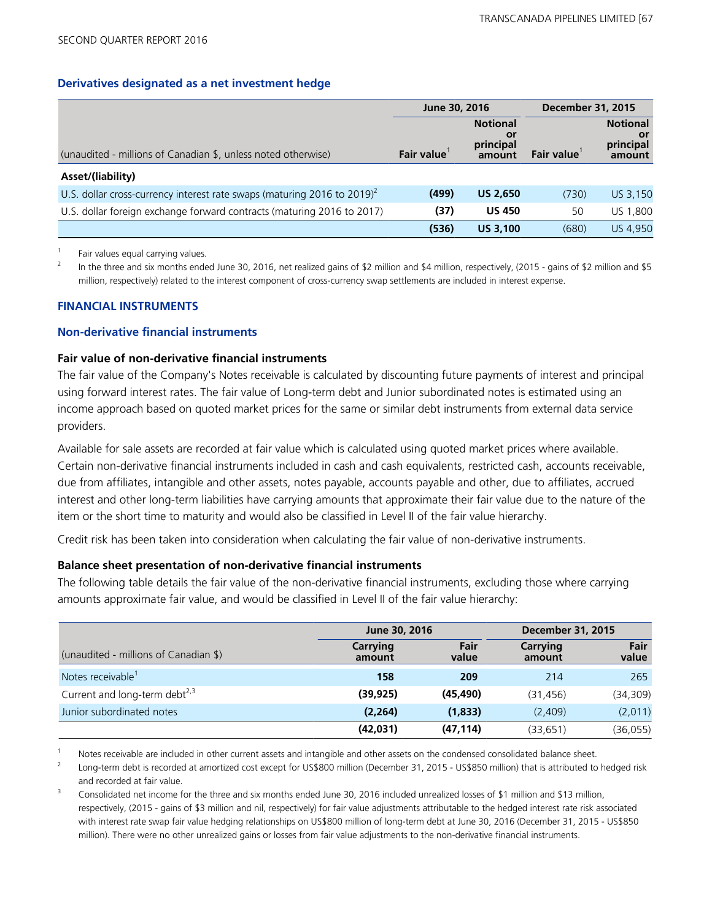#### **Derivatives designated as a net investment hedge**

|                                                                             | June 30, 2016   |                                              | <b>December 31, 2015</b> |                                               |  |
|-----------------------------------------------------------------------------|-----------------|----------------------------------------------|--------------------------|-----------------------------------------------|--|
| (unaudited - millions of Canadian \$, unless noted otherwise)               | Fair value $^1$ | <b>Notional</b><br>0ľ<br>principal<br>amount | Fair value               | <b>Notional</b><br>.or<br>principal<br>amount |  |
| <b>Asset/(liability)</b>                                                    |                 |                                              |                          |                                               |  |
| U.S. dollar cross-currency interest rate swaps (maturing 2016 to 2019) $^2$ | (499)           | <b>US 2,650</b>                              | (730)                    | US 3,150                                      |  |
| U.S. dollar foreign exchange forward contracts (maturing 2016 to 2017)      | (37)            | <b>US 450</b>                                | 50                       | US 1,800                                      |  |
|                                                                             | (536)           | <b>US 3,100</b>                              | (680)                    | <b>US 4.950</b>                               |  |

Fair values equal carrying values.

<sup>2</sup> In the three and six months ended June 30, 2016, net realized gains of \$2 million and \$4 million, respectively, (2015 - gains of \$2 million and \$5 million, respectively) related to the interest component of cross-currency swap settlements are included in interest expense.

#### **FINANCIAL INSTRUMENTS**

#### **Non-derivative financial instruments**

#### **Fair value of non-derivative financial instruments**

The fair value of the Company's Notes receivable is calculated by discounting future payments of interest and principal using forward interest rates. The fair value of Long-term debt and Junior subordinated notes is estimated using an income approach based on quoted market prices for the same or similar debt instruments from external data service providers.

Available for sale assets are recorded at fair value which is calculated using quoted market prices where available. Certain non-derivative financial instruments included in cash and cash equivalents, restricted cash, accounts receivable, due from affiliates, intangible and other assets, notes payable, accounts payable and other, due to affiliates, accrued interest and other long-term liabilities have carrying amounts that approximate their fair value due to the nature of the item or the short time to maturity and would also be classified in Level II of the fair value hierarchy.

Credit risk has been taken into consideration when calculating the fair value of non-derivative instruments.

#### **Balance sheet presentation of non-derivative financial instruments**

The following table details the fair value of the non-derivative financial instruments, excluding those where carrying amounts approximate fair value, and would be classified in Level II of the fair value hierarchy:

|                                           | June 30, 2016      |               |                    | <b>December 31, 2015</b> |  |
|-------------------------------------------|--------------------|---------------|--------------------|--------------------------|--|
| (unaudited - millions of Canadian \$)     | Carrying<br>amount | Fair<br>value | Carrying<br>amount | Fair<br>value            |  |
| Notes receivable <sup>1</sup>             | 158                | 209           | 214                | 265                      |  |
| Current and long-term debt <sup>2,3</sup> | (39, 925)          | (45, 490)     | (31, 456)          | (34, 309)                |  |
| Junior subordinated notes                 | (2,264)            | (1,833)       | (2,409)            | (2,011)                  |  |
|                                           | (42, 031)          | (47, 114)     | (33, 651)          | (36, 055)                |  |

Notes receivable are included in other current assets and intangible and other assets on the condensed consolidated balance sheet.

<sup>2</sup>Long-term debt is recorded at amortized cost except for US\$800 million (December 31, 2015 - US\$850 million) that is attributed to hedged risk and recorded at fair value.

<sup>3</sup>Consolidated net income for the three and six months ended June 30, 2016 included unrealized losses of \$1 million and \$13 million, respectively, (2015 - gains of \$3 million and nil, respectively) for fair value adjustments attributable to the hedged interest rate risk associated with interest rate swap fair value hedging relationships on US\$800 million of long-term debt at June 30, 2016 (December 31, 2015 - US\$850 million). There were no other unrealized gains or losses from fair value adjustments to the non-derivative financial instruments.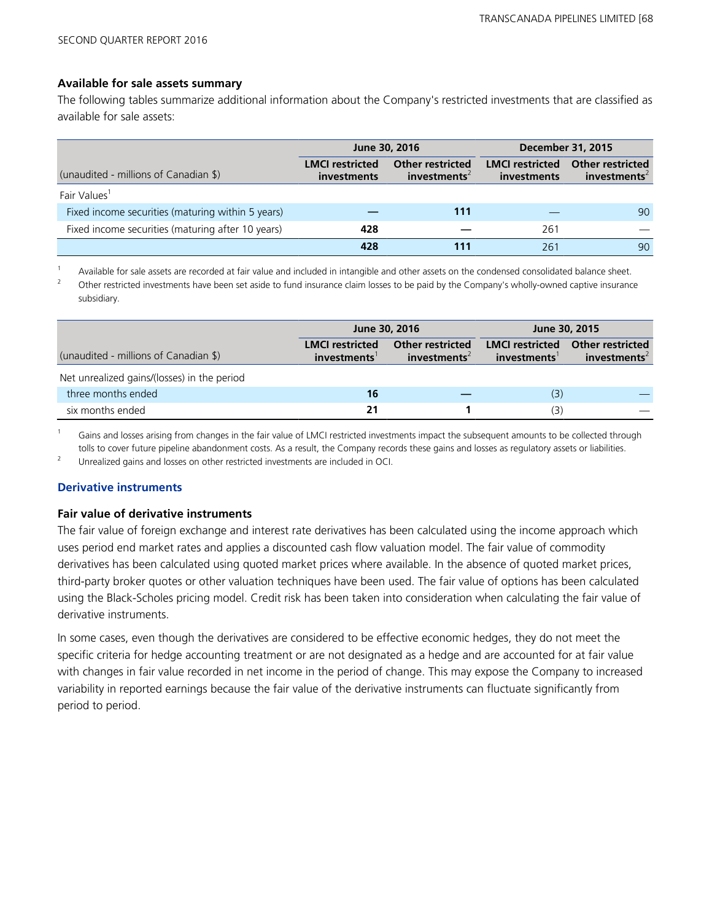#### **Available for sale assets summary**

The following tables summarize additional information about the Company's restricted investments that are classified as available for sale assets:

|                                                   |                                              | June 30, 2016                                       | <b>December 31, 2015</b>              |                                                     |  |
|---------------------------------------------------|----------------------------------------------|-----------------------------------------------------|---------------------------------------|-----------------------------------------------------|--|
| (unaudited - millions of Canadian \$)             | <b>LMCI</b> restricted<br><i>investments</i> | <b>Other restricted</b><br>investments <sup>2</sup> | <b>LMCI</b> restricted<br>investments | <b>Other restricted</b><br>investments <sup>2</sup> |  |
| Fair Values <sup>1</sup>                          |                                              |                                                     |                                       |                                                     |  |
| Fixed income securities (maturing within 5 years) |                                              | 111                                                 |                                       | 90                                                  |  |
| Fixed income securities (maturing after 10 years) | 428                                          |                                                     | 261                                   |                                                     |  |
|                                                   | 428                                          | 111                                                 | 261                                   | 90                                                  |  |

Available for sale assets are recorded at fair value and included in intangible and other assets on the condensed consolidated balance sheet.

 $2$  Other restricted investments have been set aside to fund insurance claim losses to be paid by the Company's wholly-owned captive insurance subsidiary.

|                                             |                                       | June 30, 2016                                       |                                       | June 30, 2015                                       |
|---------------------------------------------|---------------------------------------|-----------------------------------------------------|---------------------------------------|-----------------------------------------------------|
| (unaudited - millions of Canadian \$)       | <b>LMCI</b> restricted<br>investments | <b>Other restricted</b><br>investments <sup>2</sup> | <b>LMCI</b> restricted<br>investments | <b>Other restricted</b><br>investments <sup>2</sup> |
| Net unrealized gains/(losses) in the period |                                       |                                                     |                                       |                                                     |
| three months ended                          | 16                                    |                                                     | (3)                                   |                                                     |
| six months ended                            | 21                                    |                                                     | (3)                                   |                                                     |

<sup>1</sup>Gains and losses arising from changes in the fair value of LMCI restricted investments impact the subsequent amounts to be collected through tolls to cover future pipeline abandonment costs. As a result, the Company records these gains and losses as regulatory assets or liabilities.

<sup>2</sup> Unrealized gains and losses on other restricted investments are included in OCI.

#### **Derivative instruments**

#### **Fair value of derivative instruments**

The fair value of foreign exchange and interest rate derivatives has been calculated using the income approach which uses period end market rates and applies a discounted cash flow valuation model. The fair value of commodity derivatives has been calculated using quoted market prices where available. In the absence of quoted market prices, third-party broker quotes or other valuation techniques have been used. The fair value of options has been calculated using the Black-Scholes pricing model. Credit risk has been taken into consideration when calculating the fair value of derivative instruments.

In some cases, even though the derivatives are considered to be effective economic hedges, they do not meet the specific criteria for hedge accounting treatment or are not designated as a hedge and are accounted for at fair value with changes in fair value recorded in net income in the period of change. This may expose the Company to increased variability in reported earnings because the fair value of the derivative instruments can fluctuate significantly from period to period.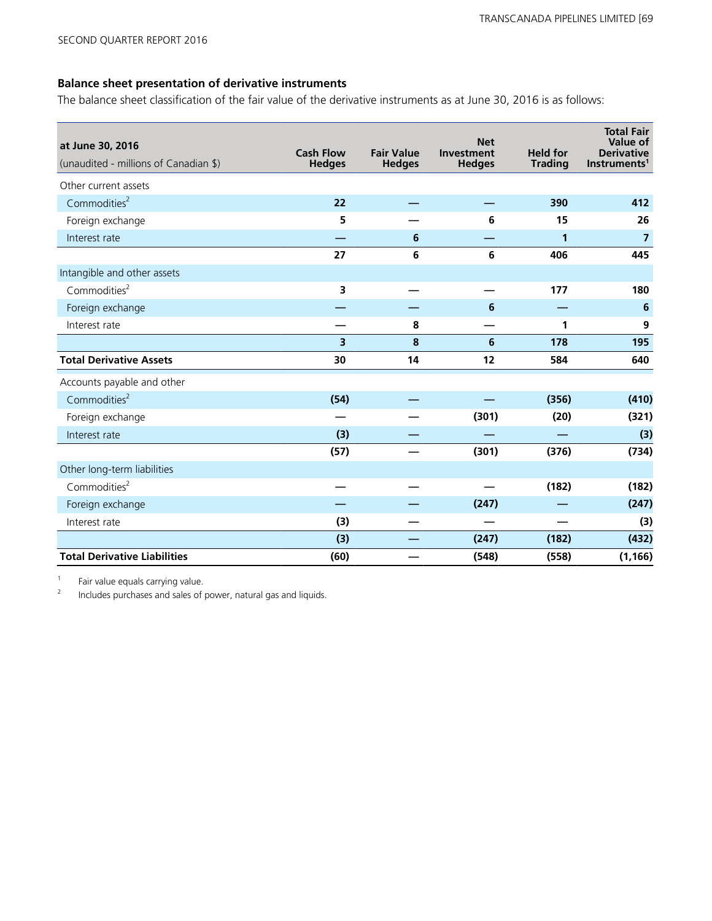#### **Balance sheet presentation of derivative instruments**

The balance sheet classification of the fair value of the derivative instruments as at June 30, 2016 is as follows:

| at June 30, 2016<br>(unaudited - millions of Canadian \$) | <b>Cash Flow</b><br><b>Hedges</b> | <b>Fair Value</b><br><b>Hedges</b> | <b>Net</b><br>Investment<br><b>Hedges</b> | <b>Held for</b><br><b>Trading</b> | <b>Total Fair</b><br><b>Value of</b><br><b>Derivative</b><br>Instruments <sup>1</sup> |
|-----------------------------------------------------------|-----------------------------------|------------------------------------|-------------------------------------------|-----------------------------------|---------------------------------------------------------------------------------------|
| Other current assets                                      |                                   |                                    |                                           |                                   |                                                                                       |
| Commodities <sup>2</sup>                                  | 22                                |                                    |                                           | 390                               | 412                                                                                   |
| Foreign exchange                                          | 5                                 |                                    | 6                                         | 15                                | 26                                                                                    |
| Interest rate                                             |                                   | 6                                  |                                           | 1                                 | $\overline{7}$                                                                        |
|                                                           | 27                                | 6                                  | 6                                         | 406                               | 445                                                                                   |
| Intangible and other assets                               |                                   |                                    |                                           |                                   |                                                                                       |
| Commodities <sup>2</sup>                                  | 3                                 |                                    |                                           | 177                               | 180                                                                                   |
| Foreign exchange                                          |                                   |                                    | 6                                         |                                   | 6                                                                                     |
| Interest rate                                             |                                   | 8                                  |                                           | 1                                 | 9                                                                                     |
|                                                           | 3                                 | 8                                  | 6                                         | 178                               | 195                                                                                   |
| <b>Total Derivative Assets</b>                            | 30                                | 14                                 | 12                                        | 584                               | 640                                                                                   |
| Accounts payable and other                                |                                   |                                    |                                           |                                   |                                                                                       |
| Commodities <sup>2</sup>                                  | (54)                              |                                    |                                           | (356)                             | (410)                                                                                 |
| Foreign exchange                                          |                                   |                                    | (301)                                     | (20)                              | (321)                                                                                 |
| Interest rate                                             | (3)                               |                                    |                                           |                                   | (3)                                                                                   |
|                                                           | (57)                              |                                    | (301)                                     | (376)                             | (734)                                                                                 |
| Other long-term liabilities                               |                                   |                                    |                                           |                                   |                                                                                       |
| Commodities <sup>2</sup>                                  |                                   |                                    |                                           | (182)                             | (182)                                                                                 |
| Foreign exchange                                          |                                   |                                    | (247)                                     |                                   | (247)                                                                                 |
| Interest rate                                             | (3)                               |                                    |                                           |                                   | (3)                                                                                   |
|                                                           | (3)                               |                                    | (247)                                     | (182)                             | (432)                                                                                 |
| <b>Total Derivative Liabilities</b>                       | (60)                              |                                    | (548)                                     | (558)                             | (1, 166)                                                                              |

<sup>1</sup> Fair value equals carrying value.<br> $\frac{2}{\pi}$  Includes purchases and sales of t

<sup>2</sup>Includes purchases and sales of power, natural gas and liquids.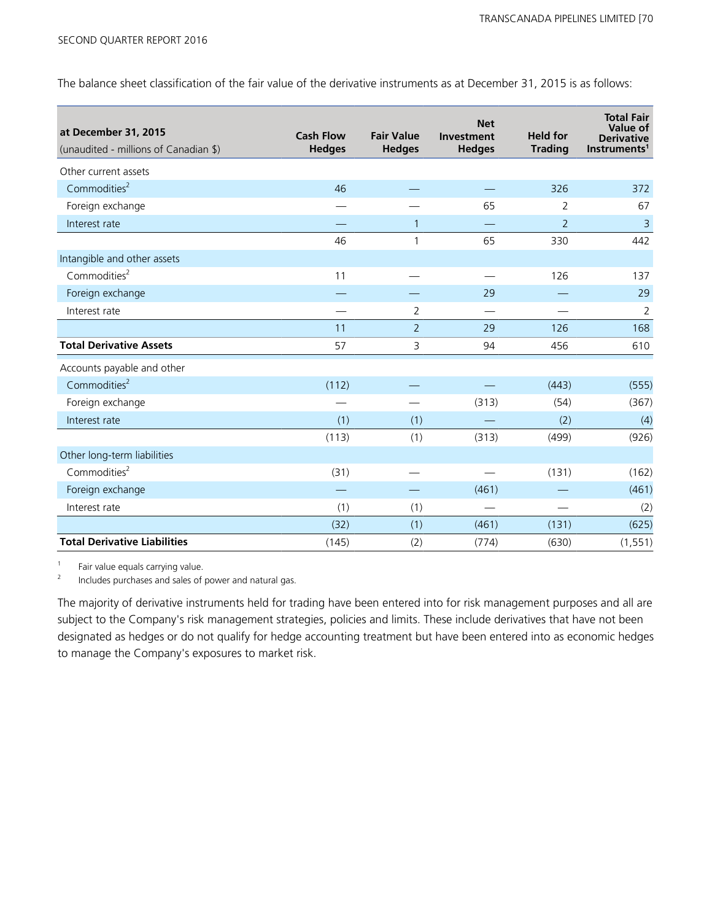The balance sheet classification of the fair value of the derivative instruments as at December 31, 2015 is as follows:

| at December 31, 2015<br>(unaudited - millions of Canadian \$) | <b>Cash Flow</b><br><b>Hedges</b> | <b>Fair Value</b><br><b>Hedges</b> | <b>Net</b><br>Investment<br><b>Hedges</b> | <b>Held for</b><br><b>Trading</b> | <b>Total Fair</b><br>Value of<br><b>Derivative</b><br>Instruments <sup>1</sup> |
|---------------------------------------------------------------|-----------------------------------|------------------------------------|-------------------------------------------|-----------------------------------|--------------------------------------------------------------------------------|
| Other current assets                                          |                                   |                                    |                                           |                                   |                                                                                |
| Commodities <sup>2</sup>                                      | 46                                |                                    |                                           | 326                               | 372                                                                            |
| Foreign exchange                                              |                                   |                                    | 65                                        | 2                                 | 67                                                                             |
| Interest rate                                                 |                                   | 1                                  |                                           | $\overline{2}$                    | $\overline{3}$                                                                 |
|                                                               | 46                                | 1                                  | 65                                        | 330                               | 442                                                                            |
| Intangible and other assets                                   |                                   |                                    |                                           |                                   |                                                                                |
| Commodities <sup>2</sup>                                      | 11                                |                                    |                                           | 126                               | 137                                                                            |
| Foreign exchange                                              |                                   |                                    | 29                                        |                                   | 29                                                                             |
| Interest rate                                                 |                                   | $\overline{2}$                     |                                           |                                   | $\overline{2}$                                                                 |
|                                                               | 11                                | $\overline{2}$                     | 29                                        | 126                               | 168                                                                            |
| <b>Total Derivative Assets</b>                                | 57                                | 3                                  | 94                                        | 456                               | 610                                                                            |
| Accounts payable and other                                    |                                   |                                    |                                           |                                   |                                                                                |
| Commodities <sup>2</sup>                                      | (112)                             |                                    |                                           | (443)                             | (555)                                                                          |
| Foreign exchange                                              |                                   |                                    | (313)                                     | (54)                              | (367)                                                                          |
| Interest rate                                                 | (1)                               | (1)                                |                                           | (2)                               | (4)                                                                            |
|                                                               | (113)                             | (1)                                | (313)                                     | (499)                             | (926)                                                                          |
| Other long-term liabilities                                   |                                   |                                    |                                           |                                   |                                                                                |
| Commodities <sup>2</sup>                                      | (31)                              |                                    |                                           | (131)                             | (162)                                                                          |
| Foreign exchange                                              |                                   |                                    | (461)                                     |                                   | (461)                                                                          |
| Interest rate                                                 | (1)                               | (1)                                |                                           |                                   | (2)                                                                            |
|                                                               | (32)                              | (1)                                | (461)                                     | (131)                             | (625)                                                                          |
| <b>Total Derivative Liabilities</b>                           | (145)                             | (2)                                | (774)                                     | (630)                             | (1, 551)                                                                       |

 $\frac{1}{2}$  Fair value equals carrying value.

<sup>2</sup>Includes purchases and sales of power and natural gas.

The majority of derivative instruments held for trading have been entered into for risk management purposes and all are subject to the Company's risk management strategies, policies and limits. These include derivatives that have not been designated as hedges or do not qualify for hedge accounting treatment but have been entered into as economic hedges to manage the Company's exposures to market risk.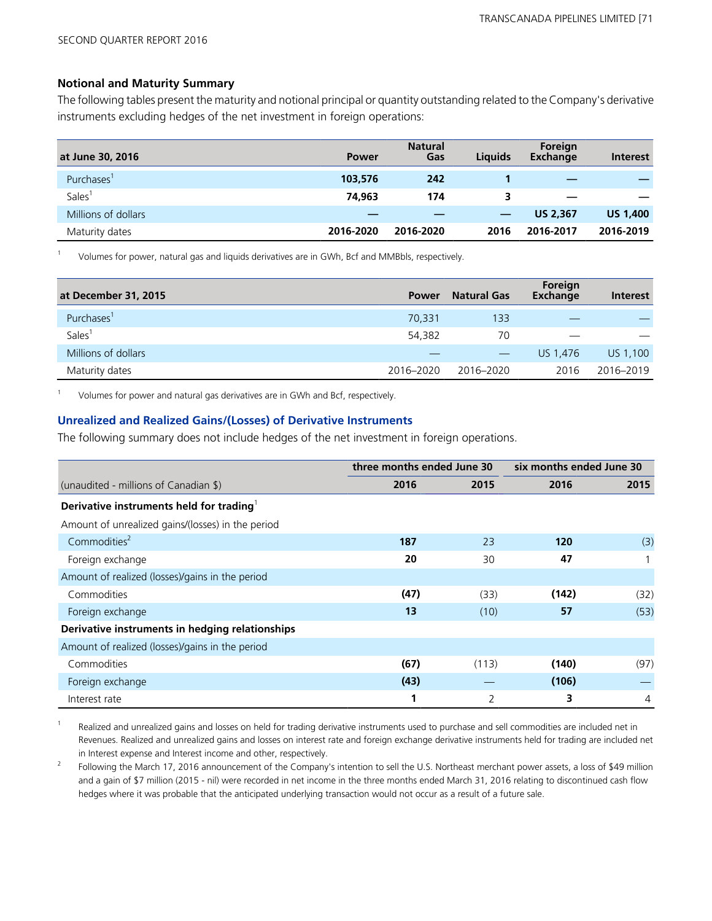#### **Notional and Maturity Summary**

The following tables present the maturity and notional principal or quantity outstanding related to the Company's derivative instruments excluding hedges of the net investment in foreign operations:

| at June 30, 2016    | <b>Power</b> | <b>Natural</b><br>Gas | <b>Liquids</b> | Foreign<br>Exchange | <b>Interest</b> |
|---------------------|--------------|-----------------------|----------------|---------------------|-----------------|
| Purchases $1$       | 103,576      | 242                   |                | –                   |                 |
| Sales <sup>1</sup>  | 74,963       | 174                   | 3              |                     |                 |
| Millions of dollars |              |                       |                | <b>US 2.367</b>     | <b>US 1,400</b> |
| Maturity dates      | 2016-2020    | 2016-2020             | 2016           | 2016-2017           | 2016-2019       |

<sup>1</sup>Volumes for power, natural gas and liquids derivatives are in GWh, Bcf and MMBbls, respectively.

| at December 31, 2015   | <b>Power</b> | <b>Natural Gas</b> | Foreign<br>Exchange | <b>Interest</b> |
|------------------------|--------------|--------------------|---------------------|-----------------|
| Purchases <sup>1</sup> | 70.331       | 133                |                     |                 |
| Sales <sup>1</sup>     | 54,382       | 70                 |                     |                 |
| Millions of dollars    |              | $\hspace{0.05cm}$  | US 1,476            | US 1,100        |
| Maturity dates         | 2016-2020    | 2016-2020          | 2016                | 2016-2019       |

Volumes for power and natural gas derivatives are in GWh and Bcf, respectively.

#### **Unrealized and Realized Gains/(Losses) of Derivative Instruments**

The following summary does not include hedges of the net investment in foreign operations.

|                                                      | three months ended June 30 |       | six months ended June 30 |      |
|------------------------------------------------------|----------------------------|-------|--------------------------|------|
| (unaudited - millions of Canadian \$)                | 2016                       | 2015  | 2016                     | 2015 |
| Derivative instruments held for trading <sup>1</sup> |                            |       |                          |      |
| Amount of unrealized gains/(losses) in the period    |                            |       |                          |      |
| Commodities <sup>2</sup>                             | 187                        | 23    | 120                      | (3)  |
| Foreign exchange                                     | 20                         | 30    | 47                       |      |
| Amount of realized (losses)/gains in the period      |                            |       |                          |      |
| Commodities                                          | (47)                       | (33)  | (142)                    | (32) |
| Foreign exchange                                     | 13                         | (10)  | 57                       | (53) |
| Derivative instruments in hedging relationships      |                            |       |                          |      |
| Amount of realized (losses)/gains in the period      |                            |       |                          |      |
| Commodities                                          | (67)                       | (113) | (140)                    | (97) |
| Foreign exchange                                     | (43)                       |       | (106)                    |      |
| Interest rate                                        |                            | 2     | 3                        | 4    |

Realized and unrealized gains and losses on held for trading derivative instruments used to purchase and sell commodities are included net in Revenues. Realized and unrealized gains and losses on interest rate and foreign exchange derivative instruments held for trading are included net in Interest expense and Interest income and other, respectively.

<sup>2</sup> Following the March 17, 2016 announcement of the Company's intention to sell the U.S. Northeast merchant power assets, a loss of \$49 million and a gain of \$7 million (2015 - nil) were recorded in net income in the three months ended March 31, 2016 relating to discontinued cash flow hedges where it was probable that the anticipated underlying transaction would not occur as a result of a future sale.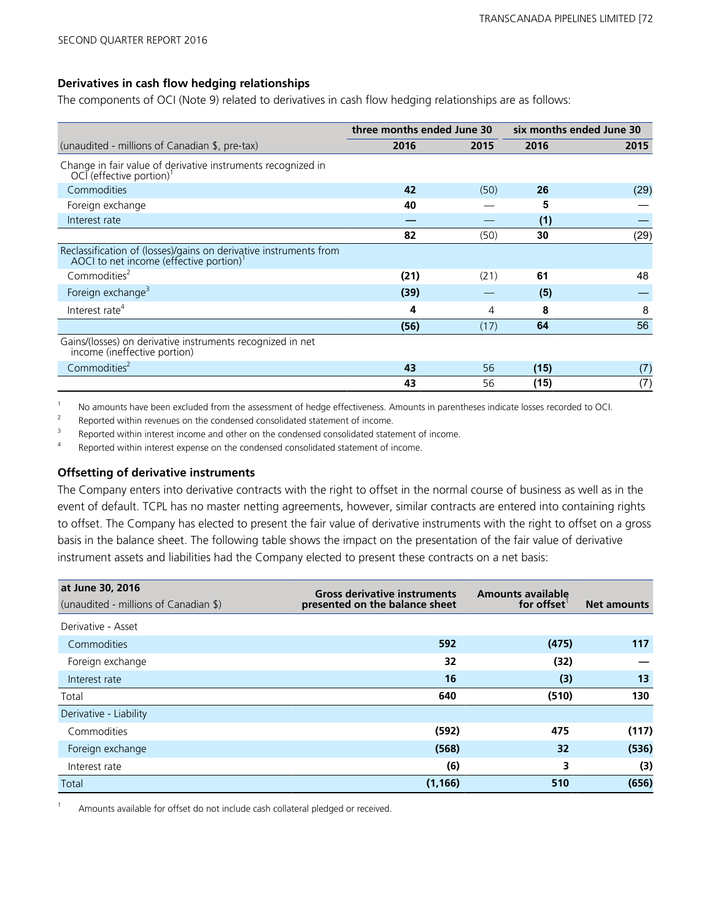#### **Derivatives in cash flow hedging relationships**

The components of OCI (Note 9) related to derivatives in cash flow hedging relationships are as follows:

|                                                                                                                          | three months ended June 30 |      | six months ended June 30 |      |
|--------------------------------------------------------------------------------------------------------------------------|----------------------------|------|--------------------------|------|
| (unaudited - millions of Canadian \$, pre-tax)                                                                           | 2016                       | 2015 | 2016                     | 2015 |
| Change in fair value of derivative instruments recognized in<br>OCI (effective portion) <sup>1</sup>                     |                            |      |                          |      |
| Commodities                                                                                                              | 42                         | (50) | 26                       | (29) |
| Foreign exchange                                                                                                         | 40                         |      | 5                        |      |
| Interest rate                                                                                                            |                            |      | (1)                      |      |
|                                                                                                                          | 82                         | (50) | 30                       | (29) |
| Reclassification of (losses)/gains on derivative instruments from<br>AOCI to net income (effective portion) <sup>1</sup> |                            |      |                          |      |
| Commodities <sup>2</sup>                                                                                                 | (21)                       | (21) | 61                       | 48   |
| Foreign exchange <sup>3</sup>                                                                                            | (39)                       |      | (5)                      |      |
| Interest rate <sup>4</sup>                                                                                               | 4                          | 4    | 8                        | 8    |
|                                                                                                                          | (56)                       | (17) | 64                       | 56   |
| Gains/(losses) on derivative instruments recognized in net<br>income (ineffective portion)                               |                            |      |                          |      |
| Commodities <sup>2</sup>                                                                                                 | 43                         | 56   | (15)                     | (7)  |
|                                                                                                                          | 43                         | 56   | (15)                     | (7)  |

1 No amounts have been excluded from the assessment of hedge effectiveness. Amounts in parentheses indicate losses recorded to OCI.

<sup>2</sup> Reported within revenues on the condensed consolidated statement of income.<br><sup>3</sup> Penerted within interest income and other on the condensed consolidated state

Reported within interest income and other on the condensed consolidated statement of income.

<sup>4</sup>Reported within interest expense on the condensed consolidated statement of income.

#### **Offsetting of derivative instruments**

The Company enters into derivative contracts with the right to offset in the normal course of business as well as in the event of default. TCPL has no master netting agreements, however, similar contracts are entered into containing rights to offset. The Company has elected to present the fair value of derivative instruments with the right to offset on a gross basis in the balance sheet. The following table shows the impact on the presentation of the fair value of derivative instrument assets and liabilities had the Company elected to present these contracts on a net basis:

| at June 30, 2016<br>(unaudited - millions of Canadian \$) | <b>Gross derivative instruments</b><br>presented on the balance sheet | <b>Amounts available</b><br>for offset | <b>Net amounts</b> |
|-----------------------------------------------------------|-----------------------------------------------------------------------|----------------------------------------|--------------------|
| Derivative - Asset                                        |                                                                       |                                        |                    |
| Commodities                                               | 592                                                                   | (475)                                  | 117                |
| Foreign exchange                                          | 32                                                                    | (32)                                   |                    |
| Interest rate                                             | 16                                                                    | (3)                                    | 13                 |
| Total                                                     | 640                                                                   | (510)                                  | 130                |
| Derivative - Liability                                    |                                                                       |                                        |                    |
| Commodities                                               | (592)                                                                 | 475                                    | (117)              |
| Foreign exchange                                          | (568)                                                                 | 32                                     | (536)              |
| Interest rate                                             | (6)                                                                   | 3                                      | (3)                |
| Total                                                     | (1, 166)                                                              | 510                                    | (656)              |

Amounts available for offset do not include cash collateral pledged or received.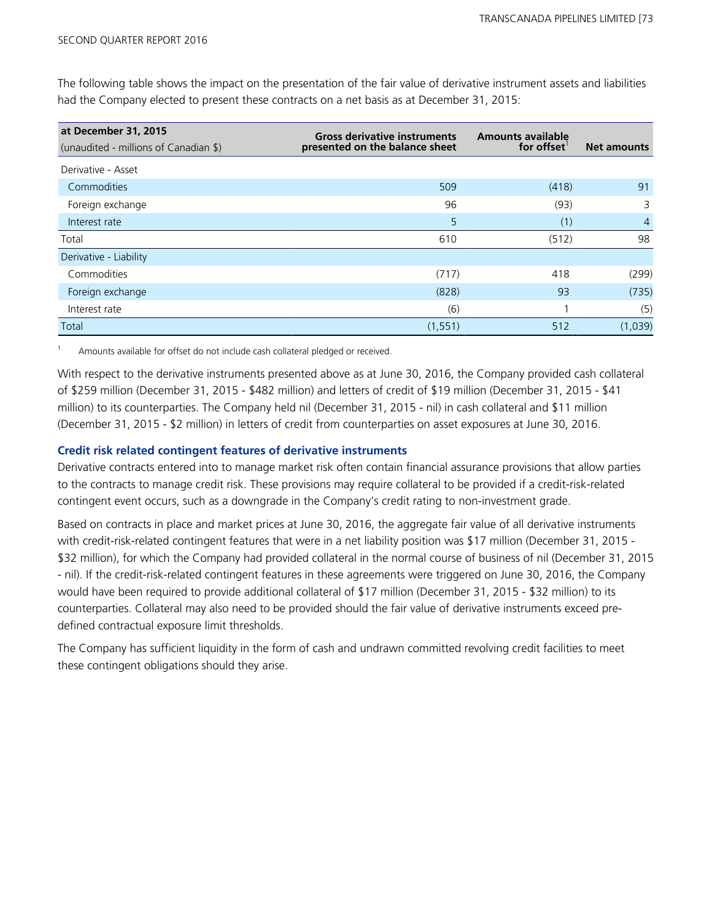The following table shows the impact on the presentation of the fair value of derivative instrument assets and liabilities had the Company elected to present these contracts on a net basis as at December 31, 2015:

| at December 31, 2015<br>(unaudited - millions of Canadian \$) | <b>Gross derivative instruments</b><br>presented on the balance sheet | <b>Amounts available</b><br>for offset | <b>Net amounts</b> |
|---------------------------------------------------------------|-----------------------------------------------------------------------|----------------------------------------|--------------------|
| Derivative - Asset                                            |                                                                       |                                        |                    |
| Commodities                                                   | 509                                                                   | (418)                                  | 91                 |
| Foreign exchange                                              | 96                                                                    | (93)                                   | 3                  |
| Interest rate                                                 | 5                                                                     | (1)                                    | $\overline{4}$     |
| Total                                                         | 610                                                                   | (512)                                  | 98                 |
| Derivative - Liability                                        |                                                                       |                                        |                    |
| Commodities                                                   | (717)                                                                 | 418                                    | (299)              |
| Foreign exchange                                              | (828)                                                                 | 93                                     | (735)              |
| Interest rate                                                 | (6)                                                                   |                                        | (5)                |
| Total                                                         | (1, 551)                                                              | 512                                    | (1,039)            |

Amounts available for offset do not include cash collateral pledged or received.

With respect to the derivative instruments presented above as at June 30, 2016, the Company provided cash collateral of \$259 million (December 31, 2015 - \$482 million) and letters of credit of \$19 million (December 31, 2015 - \$41 million) to its counterparties. The Company held nil (December 31, 2015 - nil) in cash collateral and \$11 million (December 31, 2015 - \$2 million) in letters of credit from counterparties on asset exposures at June 30, 2016.

#### **Credit risk related contingent features of derivative instruments**

Derivative contracts entered into to manage market risk often contain financial assurance provisions that allow parties to the contracts to manage credit risk. These provisions may require collateral to be provided if a credit-risk-related contingent event occurs, such as a downgrade in the Company's credit rating to non-investment grade.

Based on contracts in place and market prices at June 30, 2016, the aggregate fair value of all derivative instruments with credit-risk-related contingent features that were in a net liability position was \$17 million (December 31, 2015 - \$32 million), for which the Company had provided collateral in the normal course of business of nil (December 31, 2015 - nil). If the credit-risk-related contingent features in these agreements were triggered on June 30, 2016, the Company would have been required to provide additional collateral of \$17 million (December 31, 2015 - \$32 million) to its counterparties. Collateral may also need to be provided should the fair value of derivative instruments exceed predefined contractual exposure limit thresholds.

The Company has sufficient liquidity in the form of cash and undrawn committed revolving credit facilities to meet these contingent obligations should they arise.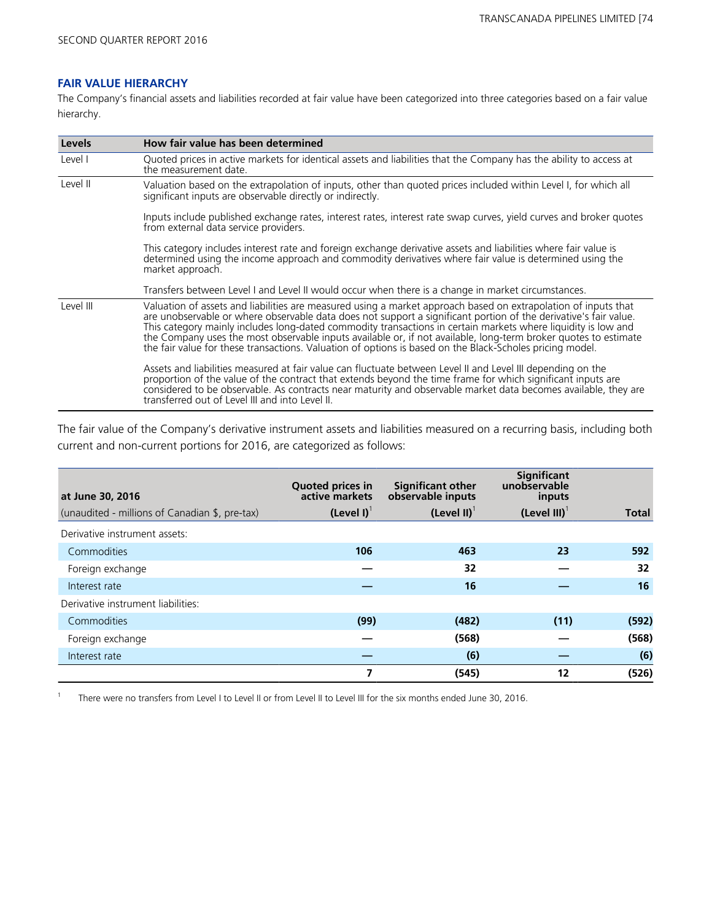#### **FAIR VALUE HIERARCHY**

The Company's financial assets and liabilities recorded at fair value have been categorized into three categories based on a fair value hierarchy.

| <b>Levels</b> | How fair value has been determined                                                                                                                                                                                                                                                                                                                                                                                                                                                                                                                                                 |
|---------------|------------------------------------------------------------------------------------------------------------------------------------------------------------------------------------------------------------------------------------------------------------------------------------------------------------------------------------------------------------------------------------------------------------------------------------------------------------------------------------------------------------------------------------------------------------------------------------|
| Level I       | Quoted prices in active markets for identical assets and liabilities that the Company has the ability to access at<br>the measurement date.                                                                                                                                                                                                                                                                                                                                                                                                                                        |
| Level II      | Valuation based on the extrapolation of inputs, other than quoted prices included within Level I, for which all<br>significant inputs are observable directly or indirectly.                                                                                                                                                                                                                                                                                                                                                                                                       |
|               | Inputs include published exchange rates, interest rates, interest rate swap curves, yield curves and broker quotes<br>from external data service providers.                                                                                                                                                                                                                                                                                                                                                                                                                        |
|               | This category includes interest rate and foreign exchange derivative assets and liabilities where fair value is<br>determined using the income approach and commodity derivatives where fair value is determined using the<br>market approach.                                                                                                                                                                                                                                                                                                                                     |
|               | Transfers between Level I and Level II would occur when there is a change in market circumstances.                                                                                                                                                                                                                                                                                                                                                                                                                                                                                 |
| Level III     | Valuation of assets and liabilities are measured using a market approach based on extrapolation of inputs that<br>are unobservable or where observable data does not support a significant portion of the derivative's fair value.<br>This category mainly includes long-dated commodity transactions in certain markets where liquidity is low and<br>the Company uses the most observable inputs available or, if not available, long-term broker quotes to estimate<br>the fair value for these transactions. Valuation of options is based on the Black-Scholes pricing model. |
|               | Assets and liabilities measured at fair value can fluctuate between Level II and Level III depending on the<br>proportion of the value of the contract that extends beyond the time frame for which significant inputs are<br>considered to be observable. As contracts near maturity and observable market data becomes available, they are<br>transferred out of Level III and into Level II.                                                                                                                                                                                    |

The fair value of the Company's derivative instrument assets and liabilities measured on a recurring basis, including both current and non-current portions for 2016, are categorized as follows:

| at June 30, 2016                               | <b>Quoted prices in</b><br>active markets | Significant other<br>observable inputs | <b>Significant</b><br>unobservable<br>inputs |              |
|------------------------------------------------|-------------------------------------------|----------------------------------------|----------------------------------------------|--------------|
| (unaudited - millions of Canadian \$, pre-tax) | $(Level I)^T$                             | (Level II) $1$                         | $(Level III)^T$                              | <b>Total</b> |
| Derivative instrument assets:                  |                                           |                                        |                                              |              |
| Commodities                                    | 106                                       | 463                                    | 23                                           | 592          |
| Foreign exchange                               |                                           | 32                                     |                                              | 32           |
| Interest rate                                  |                                           | 16                                     |                                              | 16           |
| Derivative instrument liabilities:             |                                           |                                        |                                              |              |
| Commodities                                    | (99)                                      | (482)                                  | (11)                                         | (592)        |
| Foreign exchange                               |                                           | (568)                                  |                                              | (568)        |
| Interest rate                                  |                                           | (6)                                    |                                              | (6)          |
|                                                |                                           | (545)                                  | 12                                           | (526)        |

<sup>1</sup> There were no transfers from Level I to Level II or from Level II to Level III for the six months ended June 30, 2016.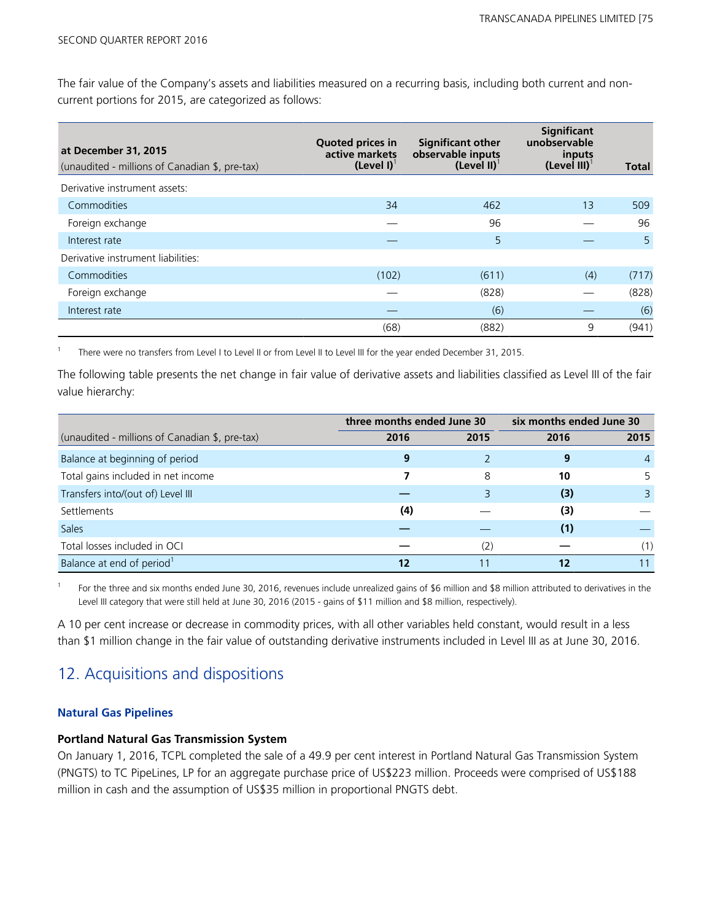The fair value of the Company's assets and liabilities measured on a recurring basis, including both current and noncurrent portions for 2015, are categorized as follows:

| at December 31, 2015<br>(unaudited - millions of Canadian \$, pre-tax) | <b>Quoted prices in</b><br>active markets<br>(Level I) <sup>1</sup> | <b>Significant other</b><br>observable inputs<br>(Level II) $1$ | Significant<br>unobservable<br>inputs<br>(Level III) $^1$ | <b>Total</b> |
|------------------------------------------------------------------------|---------------------------------------------------------------------|-----------------------------------------------------------------|-----------------------------------------------------------|--------------|
| Derivative instrument assets:                                          |                                                                     |                                                                 |                                                           |              |
| Commodities                                                            | 34                                                                  | 462                                                             | 13                                                        | 509          |
| Foreign exchange                                                       |                                                                     | 96                                                              |                                                           | 96           |
| Interest rate                                                          |                                                                     | 5                                                               |                                                           | 5            |
| Derivative instrument liabilities:                                     |                                                                     |                                                                 |                                                           |              |
| Commodities                                                            | (102)                                                               | (611)                                                           | (4)                                                       | (717)        |
| Foreign exchange                                                       |                                                                     | (828)                                                           |                                                           | (828)        |
| Interest rate                                                          |                                                                     | (6)                                                             |                                                           | (6)          |
|                                                                        | (68)                                                                | (882)                                                           | 9                                                         | (941)        |

<sup>1</sup>There were no transfers from Level I to Level II or from Level II to Level III for the year ended December 31, 2015.

The following table presents the net change in fair value of derivative assets and liabilities classified as Level III of the fair value hierarchy:

|                                                | three months ended June 30 |      | six months ended June 30 |                |
|------------------------------------------------|----------------------------|------|--------------------------|----------------|
| (unaudited - millions of Canadian \$, pre-tax) | 2016                       | 2015 | 2016                     | 2015           |
| Balance at beginning of period                 | 9                          |      | 9                        | $\overline{4}$ |
| Total gains included in net income             |                            | 8    | 10                       | 5              |
| Transfers into/(out of) Level III              |                            | 3    | (3)                      | 3              |
| Settlements                                    | (4)                        |      | (3)                      |                |
| <b>Sales</b>                                   |                            |      | (1)                      |                |
| Total losses included in OCI                   |                            | (2)  |                          | (1)            |
| Balance at end of period <sup>1</sup>          | 12                         |      | 12                       | 11             |

<sup>1</sup>For the three and six months ended June 30, 2016, revenues include unrealized gains of \$6 million and \$8 million attributed to derivatives in the Level III category that were still held at June 30, 2016 (2015 - gains of \$11 million and \$8 million, respectively).

A 10 per cent increase or decrease in commodity prices, with all other variables held constant, would result in a less than \$1 million change in the fair value of outstanding derivative instruments included in Level III as at June 30, 2016.

## 12. Acquisitions and dispositions

#### **Natural Gas Pipelines**

#### **Portland Natural Gas Transmission System**

On January 1, 2016, TCPL completed the sale of a 49.9 per cent interest in Portland Natural Gas Transmission System (PNGTS) to TC PipeLines, LP for an aggregate purchase price of US\$223 million. Proceeds were comprised of US\$188 million in cash and the assumption of US\$35 million in proportional PNGTS debt.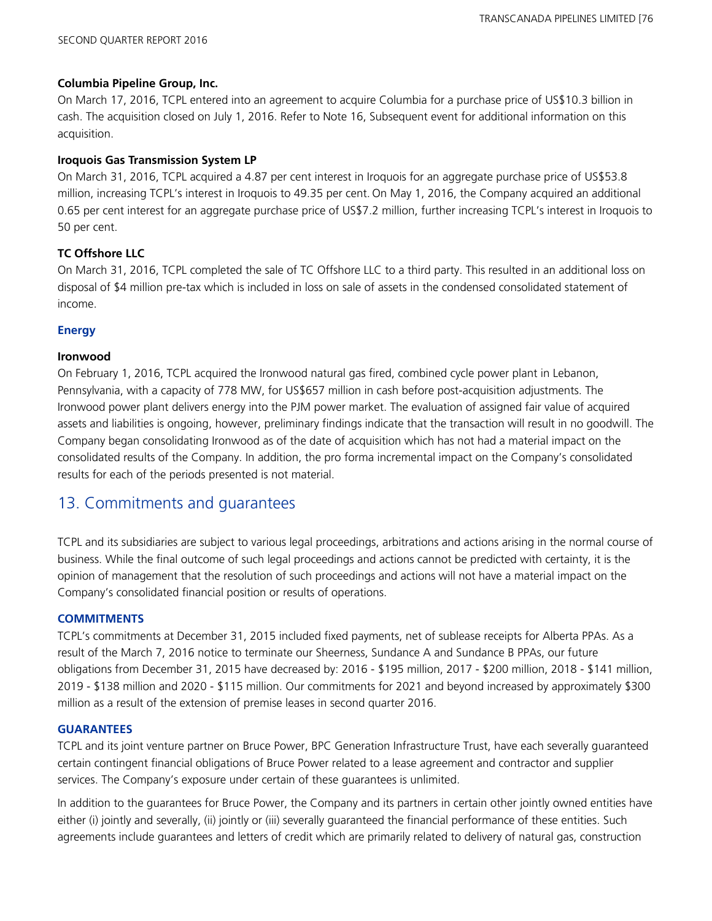#### **Columbia Pipeline Group, Inc.**

On March 17, 2016, TCPL entered into an agreement to acquire Columbia for a purchase price of US\$10.3 billion in cash. The acquisition closed on July 1, 2016. Refer to Note 16, Subsequent event for additional information on this acquisition.

#### **Iroquois Gas Transmission System LP**

On March 31, 2016, TCPL acquired a 4.87 per cent interest in Iroquois for an aggregate purchase price of US\$53.8 million, increasing TCPL's interest in Iroquois to 49.35 per cent. On May 1, 2016, the Company acquired an additional 0.65 per cent interest for an aggregate purchase price of US\$7.2 million, further increasing TCPL's interest in Iroquois to 50 per cent.

#### **TC Offshore LLC**

On March 31, 2016, TCPL completed the sale of TC Offshore LLC to a third party. This resulted in an additional loss on disposal of \$4 million pre-tax which is included in loss on sale of assets in the condensed consolidated statement of income.

#### **Energy**

#### **Ironwood**

On February 1, 2016, TCPL acquired the Ironwood natural gas fired, combined cycle power plant in Lebanon, Pennsylvania, with a capacity of 778 MW, for US\$657 million in cash before post-acquisition adjustments. The Ironwood power plant delivers energy into the PJM power market. The evaluation of assigned fair value of acquired assets and liabilities is ongoing, however, preliminary findings indicate that the transaction will result in no goodwill. The Company began consolidating Ironwood as of the date of acquisition which has not had a material impact on the consolidated results of the Company. In addition, the pro forma incremental impact on the Company's consolidated results for each of the periods presented is not material.

### 13. Commitments and guarantees

TCPL and its subsidiaries are subject to various legal proceedings, arbitrations and actions arising in the normal course of business. While the final outcome of such legal proceedings and actions cannot be predicted with certainty, it is the opinion of management that the resolution of such proceedings and actions will not have a material impact on the Company's consolidated financial position or results of operations.

#### **COMMITMENTS**

TCPL's commitments at December 31, 2015 included fixed payments, net of sublease receipts for Alberta PPAs. As a result of the March 7, 2016 notice to terminate our Sheerness, Sundance A and Sundance B PPAs, our future obligations from December 31, 2015 have decreased by: 2016 - \$195 million, 2017 - \$200 million, 2018 - \$141 million, 2019 - \$138 million and 2020 - \$115 million. Our commitments for 2021 and beyond increased by approximately \$300 million as a result of the extension of premise leases in second quarter 2016.

#### **GUARANTEES**

TCPL and its joint venture partner on Bruce Power, BPC Generation Infrastructure Trust, have each severally guaranteed certain contingent financial obligations of Bruce Power related to a lease agreement and contractor and supplier services. The Company's exposure under certain of these guarantees is unlimited.

In addition to the guarantees for Bruce Power, the Company and its partners in certain other jointly owned entities have either (i) jointly and severally, (ii) jointly or (iii) severally guaranteed the financial performance of these entities. Such agreements include guarantees and letters of credit which are primarily related to delivery of natural gas, construction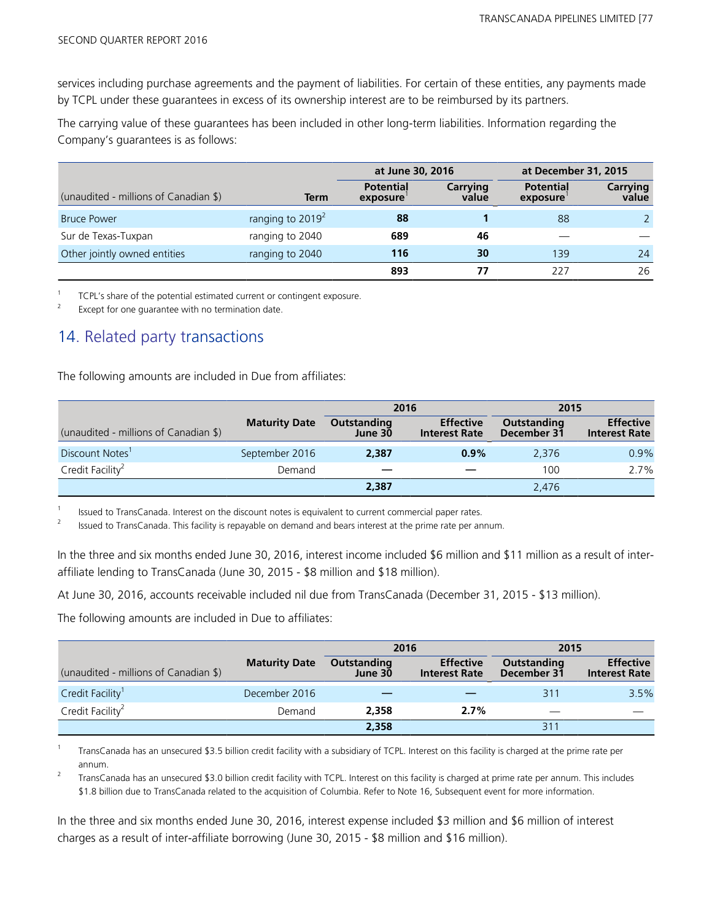services including purchase agreements and the payment of liabilities. For certain of these entities, any payments made by TCPL under these guarantees in excess of its ownership interest are to be reimbursed by its partners.

The carrying value of these guarantees has been included in other long-term liabilities. Information regarding the Company's guarantees is as follows:

|                                       |                     | at June 30, 2016             |                   | at December 31, 2015         |                          |
|---------------------------------------|---------------------|------------------------------|-------------------|------------------------------|--------------------------|
| (unaudited - millions of Canadian \$) | Term                | <b>Potential</b><br>exposure | Carrying<br>value | <b>Potential</b><br>exposure | <b>Carrying</b><br>value |
| <b>Bruce Power</b>                    | ranging to $2019^2$ | 88                           |                   | 88                           |                          |
| Sur de Texas-Tuxpan                   | ranging to 2040     | 689                          | 46                |                              |                          |
| Other jointly owned entities          | ranging to 2040     | 116                          | 30                | 139                          | 24                       |
|                                       |                     | 893                          | 77                | 227                          | 26                       |

<sup>1</sup> TCPL's share of the potential estimated current or contingent exposure.

Except for one guarantee with no termination date.

## 14. Related party transactions

The following amounts are included in Due from affiliates:

|                                       |                      | 2016                   |                                          | 2015                       |                                          |
|---------------------------------------|----------------------|------------------------|------------------------------------------|----------------------------|------------------------------------------|
| (unaudited - millions of Canadian \$) | <b>Maturity Date</b> | Outstanding<br>June 30 | <b>Effective</b><br><b>Interest Rate</b> | Outstanding<br>December 31 | <b>Effective</b><br><b>Interest Rate</b> |
| Discount Notes <sup>1</sup>           | September 2016       | 2,387                  | $0.9\%$                                  | 2,376                      | 0.9%                                     |
| Credit Facility <sup>2</sup>          | Demand               |                        |                                          | 100                        | 2.7%                                     |
|                                       |                      | 2,387                  |                                          | 2,476                      |                                          |

<sup>1</sup> Issued to TransCanada. Interest on the discount notes is equivalent to current commercial paper rates.

Issued to TransCanada. This facility is repayable on demand and bears interest at the prime rate per annum.

In the three and six months ended June 30, 2016, interest income included \$6 million and \$11 million as a result of interaffiliate lending to TransCanada (June 30, 2015 - \$8 million and \$18 million).

At June 30, 2016, accounts receivable included nil due from TransCanada (December 31, 2015 - \$13 million).

The following amounts are included in Due to affiliates:

|                                       |                      | 2016                   |                                          | 2015                       |                                          |
|---------------------------------------|----------------------|------------------------|------------------------------------------|----------------------------|------------------------------------------|
| (unaudited - millions of Canadian \$) | <b>Maturity Date</b> | Outstanding<br>June 30 | <b>Effective</b><br><b>Interest Rate</b> | Outstanding<br>December 31 | <b>Effective</b><br><b>Interest Rate</b> |
| Credit Facility <sup>1</sup>          | December 2016        |                        |                                          | 311                        | 3.5%                                     |
| Credit Facility <sup>2</sup>          | Demand               | 2,358                  | 2.7%                                     |                            |                                          |
|                                       |                      | 2,358                  |                                          | 311                        |                                          |

1 TransCanada has an unsecured \$3.5 billion credit facility with a subsidiary of TCPL. Interest on this facility is charged at the prime rate per annum.

2 TransCanada has an unsecured \$3.0 billion credit facility with TCPL. Interest on this facility is charged at prime rate per annum. This includes \$1.8 billion due to TransCanada related to the acquisition of Columbia. Refer to Note 16, Subsequent event for more information.

In the three and six months ended June 30, 2016, interest expense included \$3 million and \$6 million of interest charges as a result of inter-affiliate borrowing (June 30, 2015 - \$8 million and \$16 million).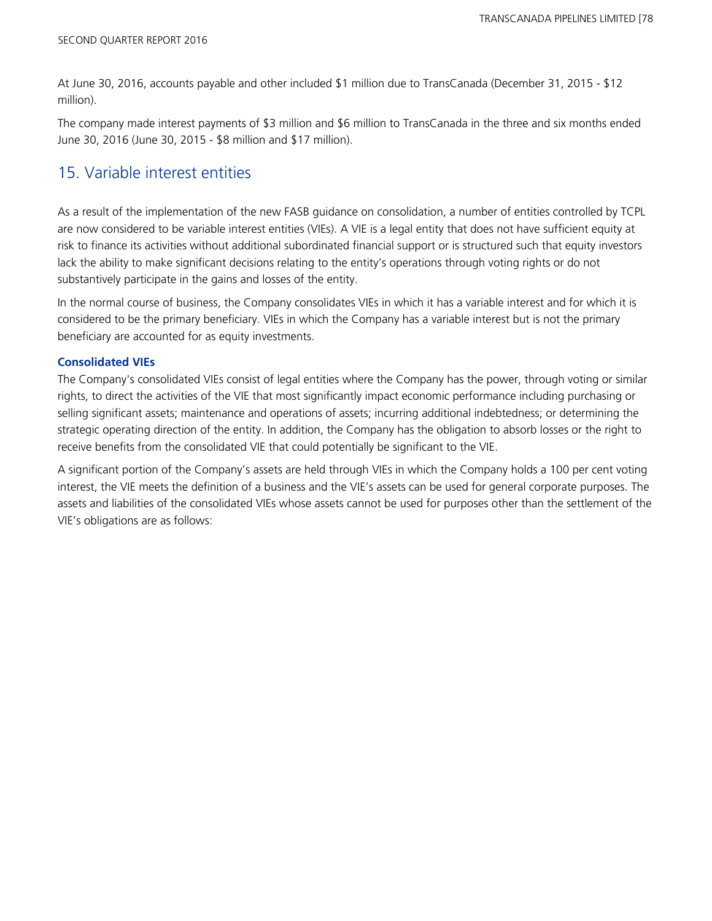At June 30, 2016, accounts payable and other included \$1 million due to TransCanada (December 31, 2015 - \$12 million).

The company made interest payments of \$3 million and \$6 million to TransCanada in the three and six months ended June 30, 2016 (June 30, 2015 - \$8 million and \$17 million).

### 15. Variable interest entities

As a result of the implementation of the new FASB guidance on consolidation, a number of entities controlled by TCPL are now considered to be variable interest entities (VIEs). A VIE is a legal entity that does not have sufficient equity at risk to finance its activities without additional subordinated financial support or is structured such that equity investors lack the ability to make significant decisions relating to the entity's operations through voting rights or do not substantively participate in the gains and losses of the entity.

In the normal course of business, the Company consolidates VIEs in which it has a variable interest and for which it is considered to be the primary beneficiary. VIEs in which the Company has a variable interest but is not the primary beneficiary are accounted for as equity investments.

#### **Consolidated VIEs**

The Company's consolidated VIEs consist of legal entities where the Company has the power, through voting or similar rights, to direct the activities of the VIE that most significantly impact economic performance including purchasing or selling significant assets; maintenance and operations of assets; incurring additional indebtedness; or determining the strategic operating direction of the entity. In addition, the Company has the obligation to absorb losses or the right to receive benefits from the consolidated VIE that could potentially be significant to the VIE.

A significant portion of the Company's assets are held through VIEs in which the Company holds a 100 per cent voting interest, the VIE meets the definition of a business and the VIE's assets can be used for general corporate purposes. The assets and liabilities of the consolidated VIEs whose assets cannot be used for purposes other than the settlement of the VIE's obligations are as follows: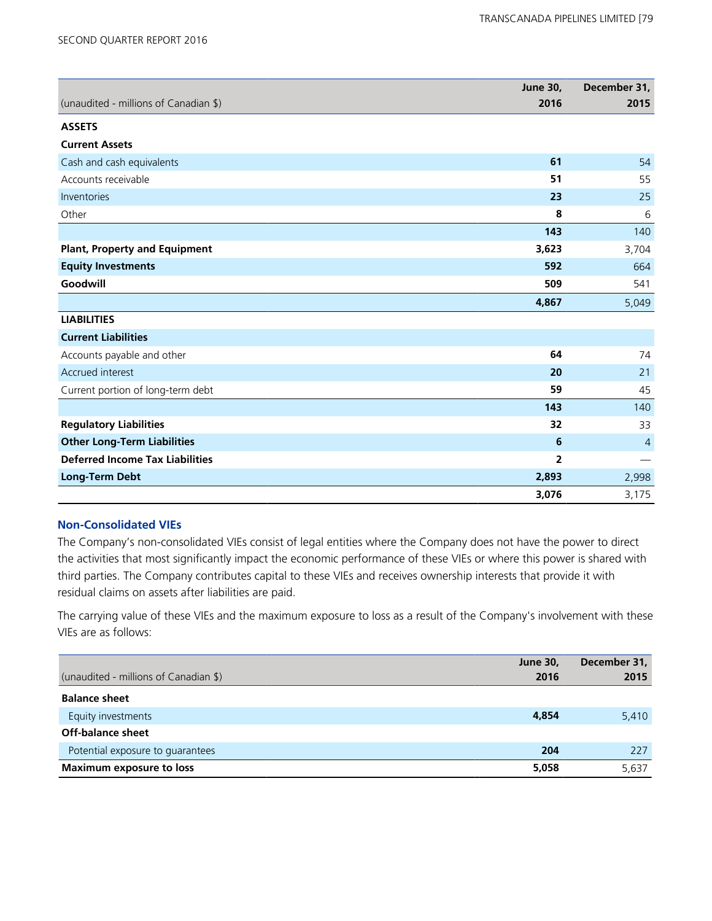|                                        | <b>June 30,</b> | December 31,    |
|----------------------------------------|-----------------|-----------------|
| (unaudited - millions of Canadian \$)  | 2016            | 2015            |
| <b>ASSETS</b>                          |                 |                 |
| <b>Current Assets</b>                  |                 |                 |
| Cash and cash equivalents              | 61              | 54              |
| Accounts receivable                    | 51              | 55              |
| Inventories                            | 23              | 25              |
| Other                                  | 8               | 6               |
|                                        | 143             | 140             |
| <b>Plant, Property and Equipment</b>   | 3,623           | 3,704           |
| <b>Equity Investments</b>              | 592             | 664             |
| Goodwill                               | 509             | 541             |
|                                        | 4,867           | 5,049           |
| <b>LIABILITIES</b>                     |                 |                 |
| <b>Current Liabilities</b>             |                 |                 |
| Accounts payable and other             | 64              | 74              |
| Accrued interest                       | 20              | 21              |
| Current portion of long-term debt      | 59              | 45              |
|                                        | 143             | 140             |
| <b>Regulatory Liabilities</b>          | 32              | 33              |
| <b>Other Long-Term Liabilities</b>     | 6               | 4               |
| <b>Deferred Income Tax Liabilities</b> | 2               | $\qquad \qquad$ |
| <b>Long-Term Debt</b>                  | 2,893           | 2,998           |
|                                        | 3,076           | 3,175           |

#### **Non-Consolidated VIEs**

The Company's non-consolidated VIEs consist of legal entities where the Company does not have the power to direct the activities that most significantly impact the economic performance of these VIEs or where this power is shared with third parties. The Company contributes capital to these VIEs and receives ownership interests that provide it with residual claims on assets after liabilities are paid.

The carrying value of these VIEs and the maximum exposure to loss as a result of the Company's involvement with these VIEs are as follows:

| (unaudited - millions of Canadian \$) | <b>June 30,</b><br>2016 | December 31,<br>2015 |
|---------------------------------------|-------------------------|----------------------|
| <b>Balance sheet</b>                  |                         |                      |
| Equity investments                    | 4,854                   | 5,410                |
| <b>Off-balance sheet</b>              |                         |                      |
| Potential exposure to quarantees      | 204                     | 227                  |
| Maximum exposure to loss              | 5,058                   | 5,637                |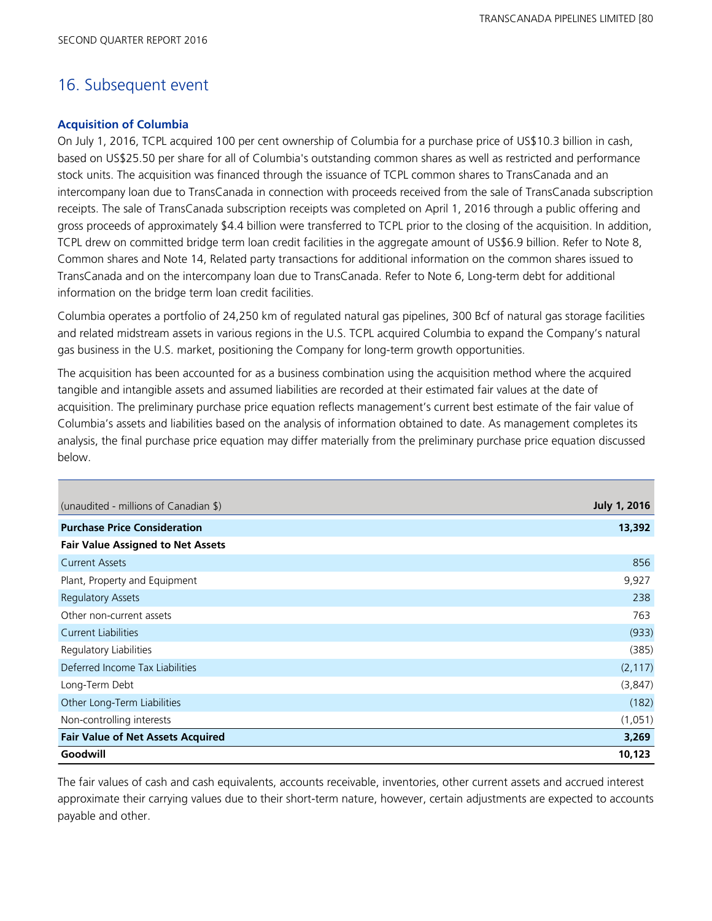## 16. Subsequent event

#### **Acquisition of Columbia**

On July 1, 2016, TCPL acquired 100 per cent ownership of Columbia for a purchase price of US\$10.3 billion in cash, based on US\$25.50 per share for all of Columbia's outstanding common shares as well as restricted and performance stock units. The acquisition was financed through the issuance of TCPL common shares to TransCanada and an intercompany loan due to TransCanada in connection with proceeds received from the sale of TransCanada subscription receipts. The sale of TransCanada subscription receipts was completed on April 1, 2016 through a public offering and gross proceeds of approximately \$4.4 billion were transferred to TCPL prior to the closing of the acquisition. In addition, TCPL drew on committed bridge term loan credit facilities in the aggregate amount of US\$6.9 billion. Refer to Note 8, Common shares and Note 14, Related party transactions for additional information on the common shares issued to TransCanada and on the intercompany loan due to TransCanada. Refer to Note 6, Long-term debt for additional information on the bridge term loan credit facilities.

Columbia operates a portfolio of 24,250 km of regulated natural gas pipelines, 300 Bcf of natural gas storage facilities and related midstream assets in various regions in the U.S. TCPL acquired Columbia to expand the Company's natural gas business in the U.S. market, positioning the Company for long-term growth opportunities.

The acquisition has been accounted for as a business combination using the acquisition method where the acquired tangible and intangible assets and assumed liabilities are recorded at their estimated fair values at the date of acquisition. The preliminary purchase price equation reflects management's current best estimate of the fair value of Columbia's assets and liabilities based on the analysis of information obtained to date. As management completes its analysis, the final purchase price equation may differ materially from the preliminary purchase price equation discussed below.

| (unaudited - millions of Canadian \$)    | <b>July 1, 2016</b> |
|------------------------------------------|---------------------|
| <b>Purchase Price Consideration</b>      | 13,392              |
| <b>Fair Value Assigned to Net Assets</b> |                     |
| <b>Current Assets</b>                    | 856                 |
| Plant, Property and Equipment            | 9,927               |
| <b>Regulatory Assets</b>                 | 238                 |
| Other non-current assets                 | 763                 |
| <b>Current Liabilities</b>               | (933)               |
| Regulatory Liabilities                   | (385)               |
| Deferred Income Tax Liabilities          | (2, 117)            |
| Long-Term Debt                           | (3,847)             |
| Other Long-Term Liabilities              | (182)               |
| Non-controlling interests                | (1,051)             |
| <b>Fair Value of Net Assets Acquired</b> | 3,269               |
| Goodwill                                 | 10,123              |

The fair values of cash and cash equivalents, accounts receivable, inventories, other current assets and accrued interest approximate their carrying values due to their short-term nature, however, certain adjustments are expected to accounts payable and other.